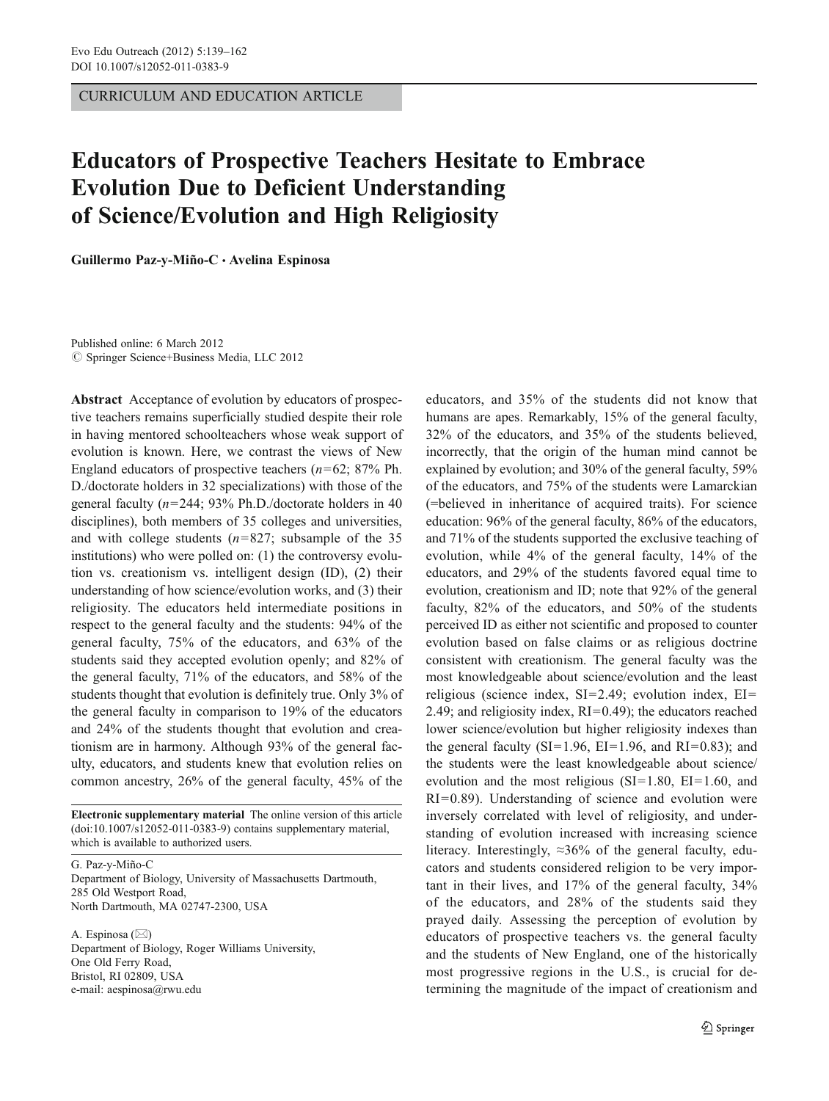CURRICULUM AND EDUCATION ARTICLE

# Educators of Prospective Teachers Hesitate to Embrace Evolution Due to Deficient Understanding of Science/Evolution and High Religiosity

Guillermo Paz-y-Miño-C · Avelina Espinosa

Published online: 6 March 2012  $\circledcirc$  Springer Science+Business Media, LLC 2012

Abstract Acceptance of evolution by educators of prospective teachers remains superficially studied despite their role in having mentored schoolteachers whose weak support of evolution is known. Here, we contrast the views of New England educators of prospective teachers  $(n=62; 87\% \text{ Ph.})$ D./doctorate holders in 32 specializations) with those of the general faculty ( $n=244$ ; 93% Ph.D./doctorate holders in 40 disciplines), both members of 35 colleges and universities, and with college students ( $n=827$ ; subsample of the 35 institutions) who were polled on: (1) the controversy evolution vs. creationism vs. intelligent design (ID), (2) their understanding of how science/evolution works, and (3) their religiosity. The educators held intermediate positions in respect to the general faculty and the students: 94% of the general faculty, 75% of the educators, and 63% of the students said they accepted evolution openly; and 82% of the general faculty, 71% of the educators, and 58% of the students thought that evolution is definitely true. Only 3% of the general faculty in comparison to 19% of the educators and 24% of the students thought that evolution and creationism are in harmony. Although 93% of the general faculty, educators, and students knew that evolution relies on common ancestry, 26% of the general faculty, 45% of the

Electronic supplementary material The online version of this article (doi:[10.1007/s12052-011-0383-9\)](http://dx.doi.org/10.1007/s12052-011-0383-9) contains supplementary material, which is available to authorized users.

G. Paz-y-Miño-C Department of Biology, University of Massachusetts Dartmouth, 285 Old Westport Road, North Dartmouth, MA 02747-2300, USA

A. Espinosa  $(\boxtimes)$ Department of Biology, Roger Williams University, One Old Ferry Road, Bristol, RI 02809, USA e-mail: aespinosa@rwu.edu

educators, and 35% of the students did not know that humans are apes. Remarkably, 15% of the general faculty, 32% of the educators, and 35% of the students believed, incorrectly, that the origin of the human mind cannot be explained by evolution; and 30% of the general faculty, 59% of the educators, and 75% of the students were Lamarckian (=believed in inheritance of acquired traits). For science education: 96% of the general faculty, 86% of the educators, and 71% of the students supported the exclusive teaching of evolution, while 4% of the general faculty, 14% of the educators, and 29% of the students favored equal time to evolution, creationism and ID; note that 92% of the general faculty, 82% of the educators, and 50% of the students perceived ID as either not scientific and proposed to counter evolution based on false claims or as religious doctrine consistent with creationism. The general faculty was the most knowledgeable about science/evolution and the least religious (science index,  $SI=2.49$ ; evolution index,  $EI=$ 2.49; and religiosity index,  $RI=0.49$ ; the educators reached lower science/evolution but higher religiosity indexes than the general faculty (SI=1.96, EI=1.96, and RI=0.83); and the students were the least knowledgeable about science/ evolution and the most religious (SI=1.80, EI=1.60, and  $RI=0.89$ ). Understanding of science and evolution were inversely correlated with level of religiosity, and understanding of evolution increased with increasing science literacy. Interestingly,  $\approx 36\%$  of the general faculty, educators and students considered religion to be very important in their lives, and 17% of the general faculty, 34% of the educators, and 28% of the students said they prayed daily. Assessing the perception of evolution by educators of prospective teachers vs. the general faculty and the students of New England, one of the historically most progressive regions in the U.S., is crucial for determining the magnitude of the impact of creationism and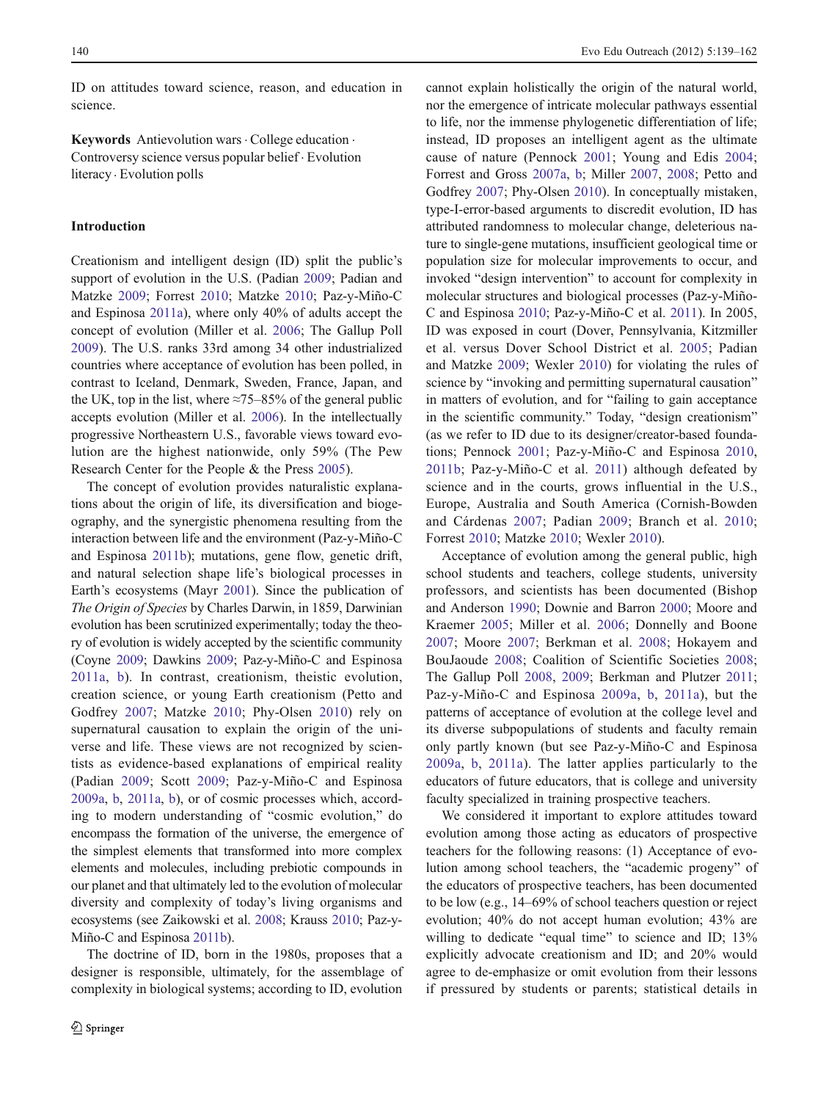ID on attitudes toward science, reason, and education in science.

Keywords Antievolution wars . College education . Controversy science versus popular belief . Evolution literacy . Evolution polls

# Introduction

Creationism and intelligent design (ID) split the public's support of evolution in the U.S. (Padian [2009](#page-23-0); Padian and Matzke [2009;](#page-23-0) Forrest [2010](#page-22-0); Matzke [2010](#page-22-0); Paz-y-Miño-C and Espinosa [2011a\)](#page-23-0), where only 40% of adults accept the concept of evolution (Miller et al. [2006](#page-22-0); The Gallup Poll [2009](#page-23-0)). The U.S. ranks 33rd among 34 other industrialized countries where acceptance of evolution has been polled, in contrast to Iceland, Denmark, Sweden, France, Japan, and the UK, top in the list, where  $\approx 75-85\%$  of the general public accepts evolution (Miller et al. [2006\)](#page-22-0). In the intellectually progressive Northeastern U.S., favorable views toward evolution are the highest nationwide, only 59% (The Pew Research Center for the People & the Press [2005](#page-23-0)).

The concept of evolution provides naturalistic explanations about the origin of life, its diversification and biogeography, and the synergistic phenomena resulting from the interaction between life and the environment (Paz-y-Miño-C and Espinosa [2011b](#page-23-0)); mutations, gene flow, genetic drift, and natural selection shape life's biological processes in Earth's ecosystems (Mayr [2001\)](#page-22-0). Since the publication of The Origin of Species by Charles Darwin, in 1859, Darwinian evolution has been scrutinized experimentally; today the theory of evolution is widely accepted by the scientific community (Coyne [2009](#page-22-0); Dawkins [2009;](#page-22-0) Paz-y-Miño-C and Espinosa [2011a](#page-23-0), [b](#page-23-0)). In contrast, creationism, theistic evolution, creation science, or young Earth creationism (Petto and Godfrey [2007](#page-23-0); Matzke [2010;](#page-22-0) Phy-Olsen [2010\)](#page-23-0) rely on supernatural causation to explain the origin of the universe and life. These views are not recognized by scientists as evidence-based explanations of empirical reality (Padian [2009;](#page-23-0) Scott [2009](#page-23-0); Paz-y-Miño-C and Espinosa [2009a](#page-23-0), [b,](#page-23-0) [2011a](#page-23-0), [b](#page-23-0)), or of cosmic processes which, according to modern understanding of "cosmic evolution," do encompass the formation of the universe, the emergence of the simplest elements that transformed into more complex elements and molecules, including prebiotic compounds in our planet and that ultimately led to the evolution of molecular diversity and complexity of today's living organisms and ecosystems (see Zaikowski et al. [2008;](#page-23-0) Krauss [2010](#page-22-0); Paz-y-Miño-C and Espinosa [2011b](#page-23-0)).

The doctrine of ID, born in the 1980s, proposes that a designer is responsible, ultimately, for the assemblage of complexity in biological systems; according to ID, evolution cannot explain holistically the origin of the natural world, nor the emergence of intricate molecular pathways essential to life, nor the immense phylogenetic differentiation of life; instead, ID proposes an intelligent agent as the ultimate cause of nature (Pennock [2001](#page-23-0); Young and Edis [2004;](#page-23-0) Forrest and Gross [2007a](#page-22-0), [b](#page-22-0); Miller [2007](#page-22-0), [2008](#page-22-0); Petto and Godfrey [2007](#page-23-0); Phy-Olsen [2010\)](#page-23-0). In conceptually mistaken, type-I-error-based arguments to discredit evolution, ID has attributed randomness to molecular change, deleterious nature to single-gene mutations, insufficient geological time or population size for molecular improvements to occur, and invoked "design intervention" to account for complexity in molecular structures and biological processes (Paz-y-Miño-C and Espinosa [2010](#page-23-0); Paz-y-Miño-C et al. [2011](#page-23-0)). In 2005, ID was exposed in court (Dover, Pennsylvania, Kitzmiller et al. versus Dover School District et al. [2005](#page-22-0); Padian and Matzke [2009;](#page-23-0) Wexler [2010](#page-23-0)) for violating the rules of science by "invoking and permitting supernatural causation" in matters of evolution, and for "failing to gain acceptance in the scientific community." Today, "design creationism" (as we refer to ID due to its designer/creator-based foundations; Pennock [2001](#page-23-0); Paz-y-Miño-C and Espinosa [2010,](#page-23-0) [2011b](#page-23-0); Paz-y-Miño-C et al. [2011\)](#page-23-0) although defeated by science and in the courts, grows influential in the U.S., Europe, Australia and South America (Cornish-Bowden and Cárdenas [2007;](#page-22-0) Padian [2009](#page-23-0); Branch et al. [2010;](#page-22-0) Forrest [2010;](#page-22-0) Matzke [2010](#page-22-0); Wexler [2010](#page-23-0)).

Acceptance of evolution among the general public, high school students and teachers, college students, university professors, and scientists has been documented (Bishop and Anderson [1990;](#page-22-0) Downie and Barron [2000](#page-22-0); Moore and Kraemer [2005;](#page-22-0) Miller et al. [2006](#page-22-0); Donnelly and Boone [2007](#page-22-0); Moore [2007;](#page-22-0) Berkman et al. [2008](#page-22-0); Hokayem and BouJaoude [2008;](#page-22-0) Coalition of Scientific Societies [2008;](#page-22-0) The Gallup Poll [2008](#page-23-0), [2009;](#page-23-0) Berkman and Plutzer [2011;](#page-22-0) Paz-y-Miño-C and Espinosa [2009a,](#page-23-0) [b](#page-23-0), [2011a\)](#page-23-0), but the patterns of acceptance of evolution at the college level and its diverse subpopulations of students and faculty remain only partly known (but see Paz-y-Miño-C and Espinosa [2009a](#page-23-0), [b,](#page-23-0) [2011a](#page-23-0)). The latter applies particularly to the educators of future educators, that is college and university faculty specialized in training prospective teachers.

We considered it important to explore attitudes toward evolution among those acting as educators of prospective teachers for the following reasons: (1) Acceptance of evolution among school teachers, the "academic progeny" of the educators of prospective teachers, has been documented to be low (e.g., 14–69% of school teachers question or reject evolution; 40% do not accept human evolution; 43% are willing to dedicate "equal time" to science and ID; 13% explicitly advocate creationism and ID; and 20% would agree to de-emphasize or omit evolution from their lessons if pressured by students or parents; statistical details in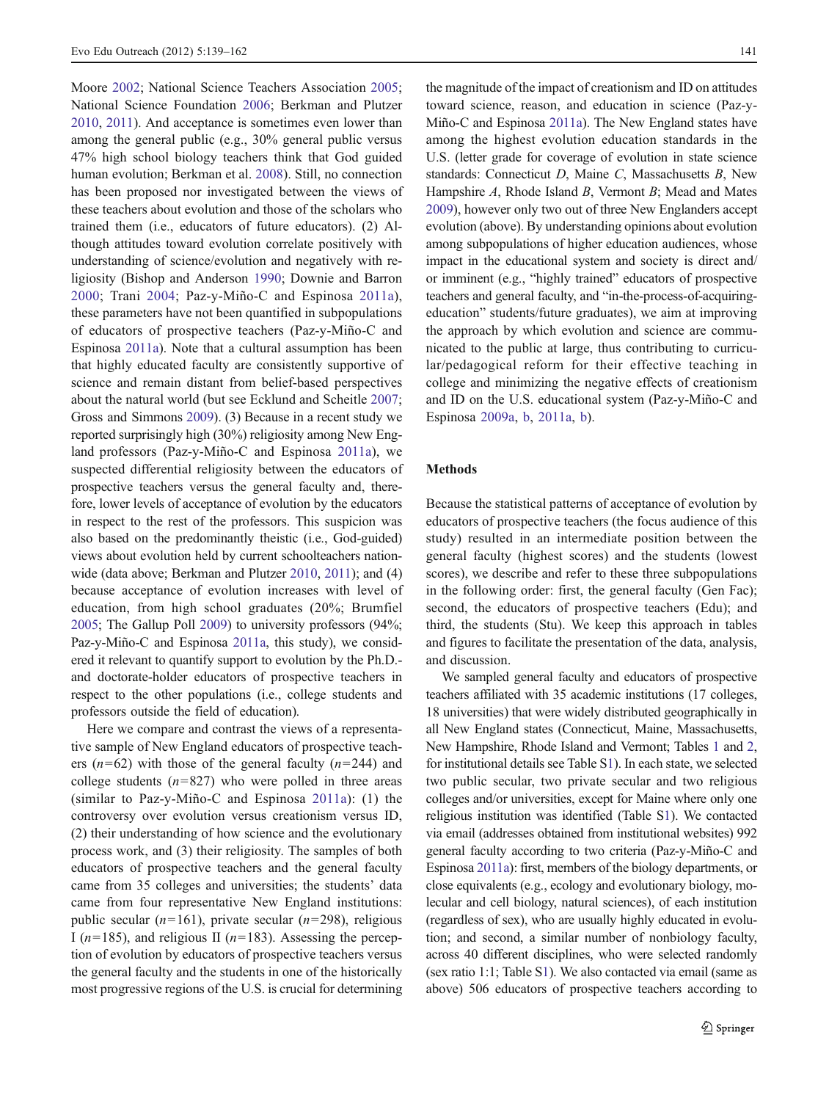Moore [2002;](#page-22-0) National Science Teachers Association [2005](#page-22-0); National Science Foundation [2006](#page-22-0); Berkman and Plutzer [2010,](#page-22-0) [2011\)](#page-22-0). And acceptance is sometimes even lower than among the general public (e.g., 30% general public versus 47% high school biology teachers think that God guided human evolution; Berkman et al. [2008\)](#page-22-0). Still, no connection has been proposed nor investigated between the views of these teachers about evolution and those of the scholars who trained them (i.e., educators of future educators). (2) Although attitudes toward evolution correlate positively with understanding of science/evolution and negatively with religiosity (Bishop and Anderson [1990](#page-22-0); Downie and Barron [2000;](#page-22-0) Trani [2004](#page-23-0); Paz-y-Miño-C and Espinosa [2011a](#page-23-0)), these parameters have not been quantified in subpopulations of educators of prospective teachers (Paz-y-Miño-C and Espinosa [2011a](#page-23-0)). Note that a cultural assumption has been that highly educated faculty are consistently supportive of science and remain distant from belief-based perspectives about the natural world (but see Ecklund and Scheitle [2007](#page-22-0); Gross and Simmons [2009\)](#page-22-0). (3) Because in a recent study we reported surprisingly high (30%) religiosity among New England professors (Paz-y-Miño-C and Espinosa [2011a](#page-23-0)), we suspected differential religiosity between the educators of prospective teachers versus the general faculty and, therefore, lower levels of acceptance of evolution by the educators in respect to the rest of the professors. This suspicion was also based on the predominantly theistic (i.e., God-guided) views about evolution held by current schoolteachers nationwide (data above; Berkman and Plutzer [2010](#page-22-0), [2011\)](#page-22-0); and (4) because acceptance of evolution increases with level of education, from high school graduates (20%; Brumfiel [2005;](#page-22-0) The Gallup Poll [2009](#page-23-0)) to university professors (94%; Paz-y-Miño-C and Espinosa [2011a](#page-23-0), this study), we considered it relevant to quantify support to evolution by the Ph.D. and doctorate-holder educators of prospective teachers in respect to the other populations (i.e., college students and professors outside the field of education).

Here we compare and contrast the views of a representative sample of New England educators of prospective teachers ( $n=62$ ) with those of the general faculty ( $n=244$ ) and college students  $(n=827)$  who were polled in three areas (similar to Paz-y-Miño-C and Espinosa [2011a](#page-23-0)): (1) the controversy over evolution versus creationism versus ID, (2) their understanding of how science and the evolutionary process work, and (3) their religiosity. The samples of both educators of prospective teachers and the general faculty came from 35 colleges and universities; the students' data came from four representative New England institutions: public secular ( $n=161$ ), private secular ( $n=298$ ), religious I ( $n=185$ ), and religious II ( $n=183$ ). Assessing the perception of evolution by educators of prospective teachers versus the general faculty and the students in one of the historically most progressive regions of the U.S. is crucial for determining

the magnitude of the impact of creationism and ID on attitudes toward science, reason, and education in science (Paz-y-Miño-C and Espinosa [2011a](#page-23-0)). The New England states have among the highest evolution education standards in the U.S. (letter grade for coverage of evolution in state science standards: Connecticut D, Maine C, Massachusetts B, New Hampshire A, Rhode Island B, Vermont B; Mead and Mates [2009\)](#page-22-0), however only two out of three New Englanders accept evolution (above). By understanding opinions about evolution among subpopulations of higher education audiences, whose impact in the educational system and society is direct and/ or imminent (e.g., "highly trained" educators of prospective teachers and general faculty, and "in-the-process-of-acquiringeducation" students/future graduates), we aim at improving the approach by which evolution and science are communicated to the public at large, thus contributing to curricular/pedagogical reform for their effective teaching in college and minimizing the negative effects of creationism and ID on the U.S. educational system (Paz-y-Miño-C and Espinosa [2009a,](#page-23-0) [b,](#page-23-0) [2011a,](#page-23-0) [b\)](#page-23-0).

# Methods

Because the statistical patterns of acceptance of evolution by educators of prospective teachers (the focus audience of this study) resulted in an intermediate position between the general faculty (highest scores) and the students (lowest scores), we describe and refer to these three subpopulations in the following order: first, the general faculty (Gen Fac); second, the educators of prospective teachers (Edu); and third, the students (Stu). We keep this approach in tables and figures to facilitate the presentation of the data, analysis, and discussion.

We sampled general faculty and educators of prospective teachers affiliated with 35 academic institutions (17 colleges, 18 universities) that were widely distributed geographically in all New England states (Connecticut, Maine, Massachusetts, New Hampshire, Rhode Island and Vermont; Tables [1](#page-3-0) and [2,](#page-4-0) for institutional details see Table S1). In each state, we selected two public secular, two private secular and two religious colleges and/or universities, except for Maine where only one religious institution was identified (Table S1). We contacted via email (addresses obtained from institutional websites) 992 general faculty according to two criteria (Paz-y-Miño-C and Espinosa [2011a](#page-23-0)): first, members of the biology departments, or close equivalents (e.g., ecology and evolutionary biology, molecular and cell biology, natural sciences), of each institution (regardless of sex), who are usually highly educated in evolution; and second, a similar number of nonbiology faculty, across 40 different disciplines, who were selected randomly (sex ratio 1:1; Table S1). We also contacted via email (same as above) 506 educators of prospective teachers according to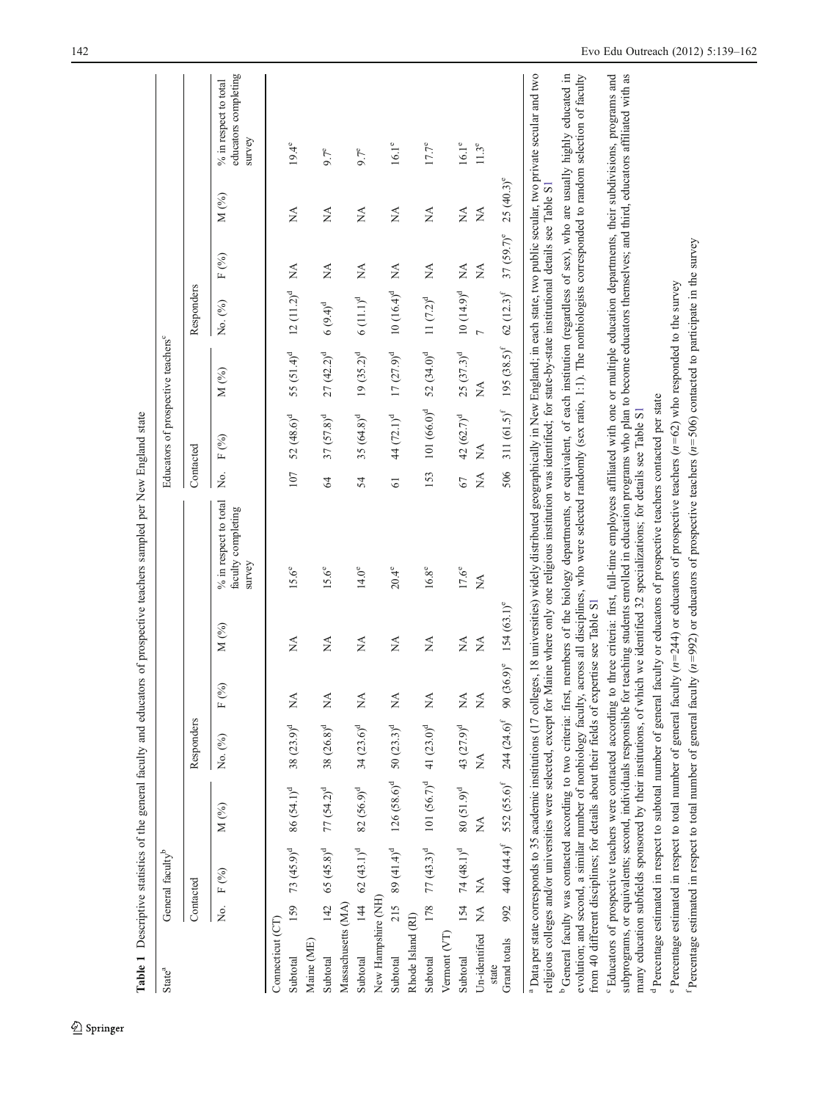<span id="page-3-0"></span>

|                                                                         |              |                                                                                         |                                              |                                |                                 |                                | Table 1 Descriptive statistics of the general faculty and educators of prospective teachers sampled per New England state                                                                                                                                                                                                                                                                                                                                                    |                 |                                                |                           |                          |                                |                                |                                                         |
|-------------------------------------------------------------------------|--------------|-----------------------------------------------------------------------------------------|----------------------------------------------|--------------------------------|---------------------------------|--------------------------------|------------------------------------------------------------------------------------------------------------------------------------------------------------------------------------------------------------------------------------------------------------------------------------------------------------------------------------------------------------------------------------------------------------------------------------------------------------------------------|-----------------|------------------------------------------------|---------------------------|--------------------------|--------------------------------|--------------------------------|---------------------------------------------------------|
| State <sup>a</sup>                                                      |              | General faculty <sup>b</sup>                                                            |                                              |                                |                                 |                                |                                                                                                                                                                                                                                                                                                                                                                                                                                                                              |                 | Educators of prospective teachers <sup>c</sup> |                           |                          |                                |                                |                                                         |
|                                                                         |              | Contacted                                                                               |                                              | Responders                     |                                 |                                |                                                                                                                                                                                                                                                                                                                                                                                                                                                                              |                 | Contacted                                      |                           | Responders               |                                |                                |                                                         |
|                                                                         |              | No. F (%)                                                                               | $M$ $\binom{9}{0}$                           | No. (%)                        | (%)<br>Щ                        | $M$ (%)                        | % in respect to total<br>faculty completing<br>survey                                                                                                                                                                                                                                                                                                                                                                                                                        | Χó.             | $F$ (%)                                        | M $(\%)$                  | No. (%)                  | $\mbox{F}$ (%)                 | M $(%)$                        | educators completing<br>% in respect to total<br>survey |
| Connecticut (CT)                                                        |              |                                                                                         |                                              |                                |                                 |                                |                                                                                                                                                                                                                                                                                                                                                                                                                                                                              |                 |                                                |                           |                          |                                |                                |                                                         |
| Subtotal                                                                |              | 159 73 $(45.9)^d$ 86 $(54.1)^d$                                                         |                                              | $38(23.9)^d$                   | Á                               | $\frac{4}{2}$                  | $15.6^{\circ}$                                                                                                                                                                                                                                                                                                                                                                                                                                                               | 107             | $52(48.6)^d$                                   | 55 $(51.4)^d$             | $12(11.2)^d$             | $\lessapprox$                  | $\sum_{i=1}^{n}$               | $19.4^{\circ}$                                          |
| Maine (ME)                                                              |              |                                                                                         |                                              |                                |                                 |                                |                                                                                                                                                                                                                                                                                                                                                                                                                                                                              |                 |                                                |                           |                          |                                |                                |                                                         |
| Subtotal                                                                |              | $142$ 65 $(45.8)^d$                                                                     | $77 (54.2)^d$                                | $38 (26.8)^d$                  | $\mathbb{A}^{\mathbf{A}}$       | ÁX                             | $15.6^\circ$                                                                                                                                                                                                                                                                                                                                                                                                                                                                 | 64              | $37(57.8)^d$                                   | $27(42.2)^d$              | $6(9.4)^d$               | $\stackrel{\triangle}{\simeq}$ | $\stackrel{\triangle}{\simeq}$ | $9.7^e$                                                 |
| Massachusetts (MA)                                                      |              |                                                                                         |                                              |                                |                                 |                                |                                                                                                                                                                                                                                                                                                                                                                                                                                                                              |                 |                                                |                           |                          |                                |                                |                                                         |
| Subtotal                                                                |              | 144 62 (43.1) <sup>d</sup> 82 (56.9) <sup>d</sup> 34 (23.6) <sup>d</sup>                |                                              |                                | $\stackrel{\triangle}{\simeq}$  | Ź                              | $14.0^{\circ}$                                                                                                                                                                                                                                                                                                                                                                                                                                                               | 54              | $35(64.8)^d$                                   | $19(35.2)^d$              | $6(11.1)^d$              | $\lessapprox$                  | $\lessapprox$                  | $9.7^e$                                                 |
| New Hampshire (NH)                                                      |              |                                                                                         |                                              |                                |                                 |                                |                                                                                                                                                                                                                                                                                                                                                                                                                                                                              |                 |                                                |                           |                          |                                |                                |                                                         |
| Subtotal                                                                | 215          |                                                                                         | 89 $(41.4)^d$ 126 $(58.6)^d$ 50 $(23.3)^d$   |                                | $\mathbb{X}^{\mathsf{A}}$       | ÁN                             | $20.4^{\circ}$                                                                                                                                                                                                                                                                                                                                                                                                                                                               | $\overline{61}$ | 44 (72.1) <sup>d</sup>                         | $17(27.9)^d$              | $10(16.4)^d$             | Ź                              | Ź                              | $16.1^{\circ}$                                          |
| Rhode Island (RI)                                                       |              |                                                                                         |                                              |                                |                                 |                                |                                                                                                                                                                                                                                                                                                                                                                                                                                                                              |                 |                                                |                           |                          |                                |                                |                                                         |
| Subtotal                                                                |              | $178$ 77 (43.3) <sup>d</sup> 101 (56.7) <sup>d</sup> 41 (23.0) <sup>d</sup>             |                                              |                                | $\stackrel{\triangle}{\approx}$ | $\lesssim$                     | $16.8^\circ$                                                                                                                                                                                                                                                                                                                                                                                                                                                                 | 153             | $101 (66.0)^d$                                 | $52(34.0)^d$              | $11 (7.2)^d$             | $\mathbb{X}$                   | $\mathbb{X}$                   | $17.7^{\circ}$                                          |
| Vermont (VT)                                                            |              |                                                                                         |                                              |                                |                                 |                                |                                                                                                                                                                                                                                                                                                                                                                                                                                                                              |                 |                                                |                           |                          |                                |                                |                                                         |
| Subtotal                                                                | 154          |                                                                                         | 74 $(48.1)^d$ 80 $(51.9)^d$ 43 $(27.9)^d$    |                                | $\mathbb{R}^{\mathsf{A}}$       | $\stackrel{\triangle}{\simeq}$ | $17.6^{\circ}$                                                                                                                                                                                                                                                                                                                                                                                                                                                               | 67              | $42(62.7)^d$                                   | $25(37.3)^d$              | $10(14.9)^d$             | $\lessapprox$                  | Ź                              | $16.1^{\circ}$                                          |
| Un-identified                                                           | $\mathbb{E}$ | $\mathbb{X}^{\mathsf{A}}$                                                               | $\mathbb{A}^{\mathbb{A}}$                    | $\stackrel{\triangle}{\simeq}$ | $\mathbb{A}^{\mathcal{A}}$      | $\lessapprox$                  | $\stackrel{\triangle}{\simeq}$                                                                                                                                                                                                                                                                                                                                                                                                                                               | Ź               | $\mathbb{X}^{\mathsf{A}}$                      | $\mathbb{X}^{\mathsf{A}}$ | $\overline{a}$           | Ź                              | $\stackrel{\triangle}{\geq}$   | $11.3^e$                                                |
| Grand totals<br>state                                                   | 992          |                                                                                         | 440 $(44.4)^f$ 552 $(55.6)^f$ 244 $(24.6)^f$ |                                | $(36.9)^e$<br>$90$              | $154(63.1)^e$                  |                                                                                                                                                                                                                                                                                                                                                                                                                                                                              | 506             | 311 $(61.5)^f$                                 | $195 (38.5)^f$            | $62~(12.3)^{\mathrm{f}}$ | $37(59.7)^e$                   | $25(40.3)^e$                   |                                                         |
|                                                                         |              | religious colleges and/or universities were selected, except for                        |                                              |                                |                                 |                                | <sup>a</sup> Data per state corresponds to 35 academic institutions (17 colleges, 18 universities) widely distributed geographically in New England; in each state, two public secular, two private secular and two<br>Maine where only one religious institution was identified; for state-by-state institutional details see Table S1                                                                                                                                      |                 |                                                |                           |                          |                                |                                |                                                         |
|                                                                         |              |                                                                                         |                                              |                                |                                 |                                | <sup>b</sup> General faculty was contacted according to two criteria: first, members of the biology departments, or equivalent, of each institution (regardless of sex), who are usually highly educated in<br>evolution; and second, a similar number of nonbiology faculty, across all disciplines, who were selected randomly (sex ratio, 1:1). The nonbiologists corresponded to random selection of faculty                                                             |                 |                                                |                           |                          |                                |                                |                                                         |
|                                                                         |              | from 40 different disciplines; for details about their fields of expertise see Table S1 |                                              |                                |                                 |                                |                                                                                                                                                                                                                                                                                                                                                                                                                                                                              |                 |                                                |                           |                          |                                |                                |                                                         |
| <sup>6</sup> Educators of prospective teachers were contacted according |              |                                                                                         |                                              |                                |                                 |                                | to three criteria: first, full-time employees affiliated with one or multiple education departments, their subdivisions, programs and<br>subprograms, or equivalents; second, individuals responsible for teaching students enrolled in education programs who plan to become educators themselves; and third, educators affiliated with as<br>many education subfields sponsored by their institutions, of which we identified 32 specializations; for details see Table S1 |                 |                                                |                           |                          |                                |                                |                                                         |
|                                                                         |              |                                                                                         |                                              |                                |                                 |                                | <sup>d</sup> Percentage estimated in respect to subtotal number of general faculty or educators of prospective teachers contacted per state                                                                                                                                                                                                                                                                                                                                  |                 |                                                |                           |                          |                                |                                |                                                         |
|                                                                         |              |                                                                                         |                                              |                                |                                 |                                | Percentage estimated in respect to total number of general faculty $(n=244)$ or educators of prospective teachers $(n=62)$ who responded to the survey                                                                                                                                                                                                                                                                                                                       |                 |                                                |                           |                          |                                |                                |                                                         |
|                                                                         |              |                                                                                         |                                              |                                |                                 |                                | Percentage estimated in respect to total number of general faculty $(n=992)$ or educators of prospective teachers $(n=506)$ contacted to participate in the survey                                                                                                                                                                                                                                                                                                           |                 |                                                |                           |                          |                                |                                |                                                         |

 $\underline{\textcircled{\tiny 2}}$  Springer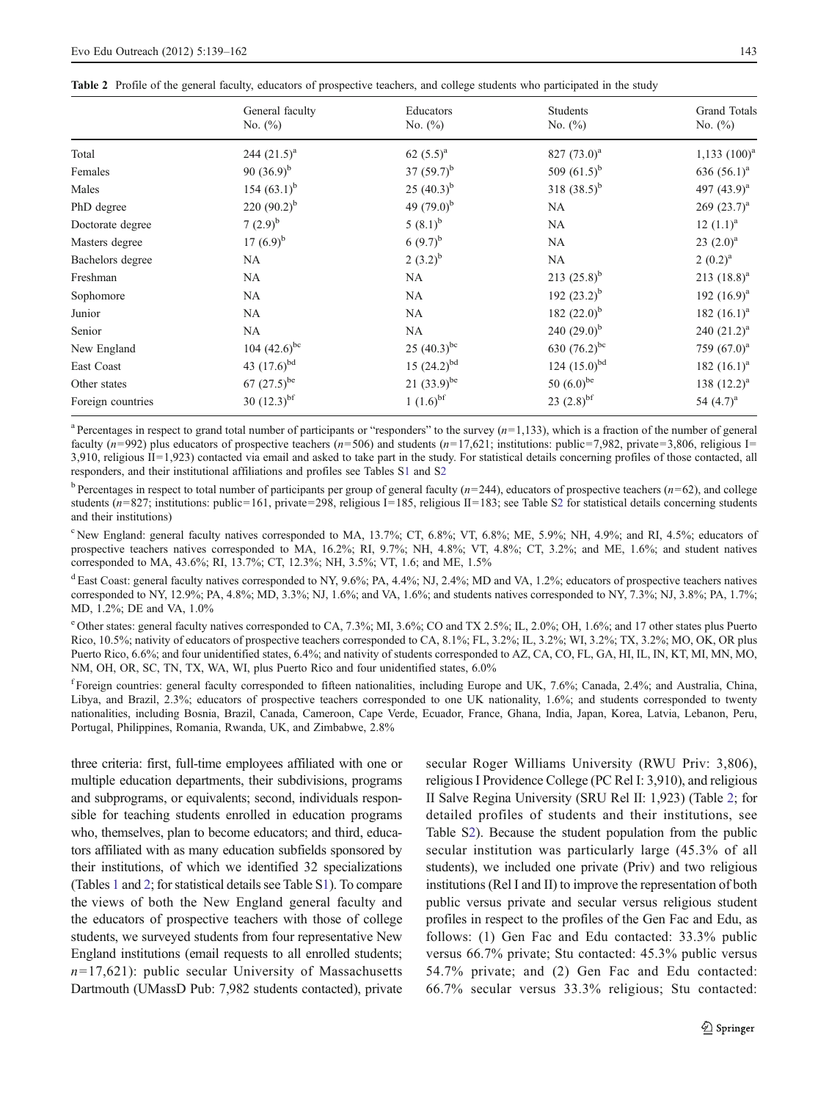<span id="page-4-0"></span>

|  | Table 2 Profile of the general faculty, educators of prospective teachers, and college students who participated in the study |  |  |  |  |  |  |  |  |  |
|--|-------------------------------------------------------------------------------------------------------------------------------|--|--|--|--|--|--|--|--|--|
|--|-------------------------------------------------------------------------------------------------------------------------------|--|--|--|--|--|--|--|--|--|

|                   | General faculty           | Educators              | Students                 | Grand Totals      |
|-------------------|---------------------------|------------------------|--------------------------|-------------------|
|                   | No. $(\%)$                | No. $(\%)$             | No. $(\%)$               | No. $(\%)$        |
| Total             | 244 $(21.5)^a$            | 62 $(5.5)^{a}$         | 827 $(73.0)^a$           | $1,133$ $(100)^a$ |
| Females           | 90 $(36.9)^{b}$           | 37 $(59.7)^{b}$        | 509 $(61.5)^{b}$         | 636 $(56.1)^a$    |
| Males             | 154 $(63.1)^b$            | 25 $(40.3)^{b}$        | 318 $(38.5)^b$           | 497 $(43.9)^{a}$  |
| PhD degree        | 220 $(90.2)^{b}$          | 49 $(79.0)^b$          | NA                       | $269 (23.7)^a$    |
| Doctorate degree  | 7 $(2.9)^{b}$             | $5(8.1)^{b}$           | NA                       | $12 (1.1)^a$      |
| Masters degree    | 17 $(6.9)^{b}$            | 6 $(9.7)^{b}$          | NA                       | $23 (2.0)^a$      |
| Bachelors degree  | <b>NA</b>                 | $2(3.2)^{b}$           | <b>NA</b>                | $2(0.2)^a$        |
| Freshman          | <b>NA</b>                 | <b>NA</b>              | 213 $(25.8)^{b}$         | 213 $(18.8)^a$    |
| Sophomore         | NA.                       | NA.                    | 192 $(23.2)^{b}$         | 192 $(16.9)^a$    |
| Junior            | NA                        | NA.                    | 182 $(22.0)^b$           | 182 $(16.1)^a$    |
| Senior            | NA                        | <b>NA</b>              | 240 $(29.0)^{b}$         | 240 $(21.2)^a$    |
| New England       | 104 $(42.6)^{bc}$         | 25 $(40.3)^{bc}$       | 630 $(76.2)^{bc}$        | 759 $(67.0)^a$    |
| East Coast        | 43 $(17.6)^{bd}$          | $15 (24.2)^{bd}$       | 124 $(15.0)^{bd}$        | 182 $(16.1)^a$    |
| Other states      | 67 $(27.5)^{be}$          | 21 $(33.9)^{be}$       | 50 $(6.0)^{be}$          | 138 $(12.2)^a$    |
| Foreign countries | 30 $(12.3)$ <sup>bf</sup> | $1(1.6)$ <sup>bf</sup> | 23 $(2.8)$ <sup>bf</sup> | 54 $(4.7)^{a}$    |

<sup>a</sup> Percentages in respect to grand total number of participants or "responders" to the survey  $(n=1,133)$ , which is a fraction of the number of general faculty (n=992) plus educators of prospective teachers (n=506) and students (n=17,621; institutions: public=7,982, private=3,806, religious I=  $3,910$ , religious II=1,923) contacted via email and asked to take part in the study. For statistical details concerning profiles of those contacted, all responders, and their institutional affiliations and profiles see Tables S1 and S2

<sup>b</sup> Percentages in respect to total number of participants per group of general faculty  $(n=244)$ , educators of prospective teachers  $(n=62)$ , and college students ( $n=827$ ; institutions: public=161, private=298, religious I=185, religious II=183; see Table S2 for statistical details concerning students and their institutions)

<sup>c</sup> New England: general faculty natives corresponded to MA, 13.7%; CT, 6.8%; VT, 6.8%; ME, 5.9%; NH, 4.9%; and RI, 4.5%; educators of prospective teachers natives corresponded to MA, 16.2%; RI, 9.7%; NH, 4.8%; VT, 4.8%; CT, 3.2%; and ME, 1.6%; and student natives corresponded to MA, 43.6%; RI, 13.7%; CT, 12.3%; NH, 3.5%; VT, 1.6; and ME, 1.5%

 $^{\text{d}}$  East Coast: general faculty natives corresponded to NY, 9.6%; PA, 4.4%; NJ, 2.4%; MD and VA, 1.2%; educators of prospective teachers natives corresponded to NY, 12.9%; PA, 4.8%; MD, 3.3%; NJ, 1.6%; and VA, 1.6%; and students natives corresponded to NY, 7.3%; NJ, 3.8%; PA, 1.7%; MD, 1.2%; DE and VA, 1.0%

<sup>e</sup> Other states: general faculty natives corresponded to CA, 7.3%; MI, 3.6%; CO and TX 2.5%; IL, 2.0%; OH, 1.6%; and 17 other states plus Puerto Rico, 10.5%; nativity of educators of prospective teachers corresponded to CA, 8.1%; FL, 3.2%; IL, 3.2%; WI, 3.2%; TX, 3.2%; MO, OK, OR plus Puerto Rico, 6.6%; and four unidentified states, 6.4%; and nativity of students corresponded to AZ, CA, CO, FL, GA, HI, IL, IN, KT, MI, MN, MO, NM, OH, OR, SC, TN, TX, WA, WI, plus Puerto Rico and four unidentified states, 6.0%

<sup>f</sup> Foreign countries: general faculty corresponded to fifteen nationalities, including Europe and UK, 7.6%; Canada, 2.4%; and Australia, China, Libya, and Brazil, 2.3%; educators of prospective teachers corresponded to one UK nationality, 1.6%; and students corresponded to twenty nationalities, including Bosnia, Brazil, Canada, Cameroon, Cape Verde, Ecuador, France, Ghana, India, Japan, Korea, Latvia, Lebanon, Peru, Portugal, Philippines, Romania, Rwanda, UK, and Zimbabwe, 2.8%

three criteria: first, full-time employees affiliated with one or multiple education departments, their subdivisions, programs and subprograms, or equivalents; second, individuals responsible for teaching students enrolled in education programs who, themselves, plan to become educators; and third, educators affiliated with as many education subfields sponsored by their institutions, of which we identified 32 specializations (Tables [1](#page-3-0) and 2; for statistical details see Table S1). To compare the views of both the New England general faculty and the educators of prospective teachers with those of college students, we surveyed students from four representative New England institutions (email requests to all enrolled students;  $n=17,621$ : public secular University of Massachusetts Dartmouth (UMassD Pub: 7,982 students contacted), private secular Roger Williams University (RWU Priv: 3,806), religious I Providence College (PC Rel I: 3,910), and religious II Salve Regina University (SRU Rel II: 1,923) (Table 2; for detailed profiles of students and their institutions, see Table S2). Because the student population from the public secular institution was particularly large (45.3% of all students), we included one private (Priv) and two religious institutions (Rel I and II) to improve the representation of both public versus private and secular versus religious student profiles in respect to the profiles of the Gen Fac and Edu, as follows: (1) Gen Fac and Edu contacted: 33.3% public versus 66.7% private; Stu contacted: 45.3% public versus 54.7% private; and (2) Gen Fac and Edu contacted: 66.7% secular versus 33.3% religious; Stu contacted: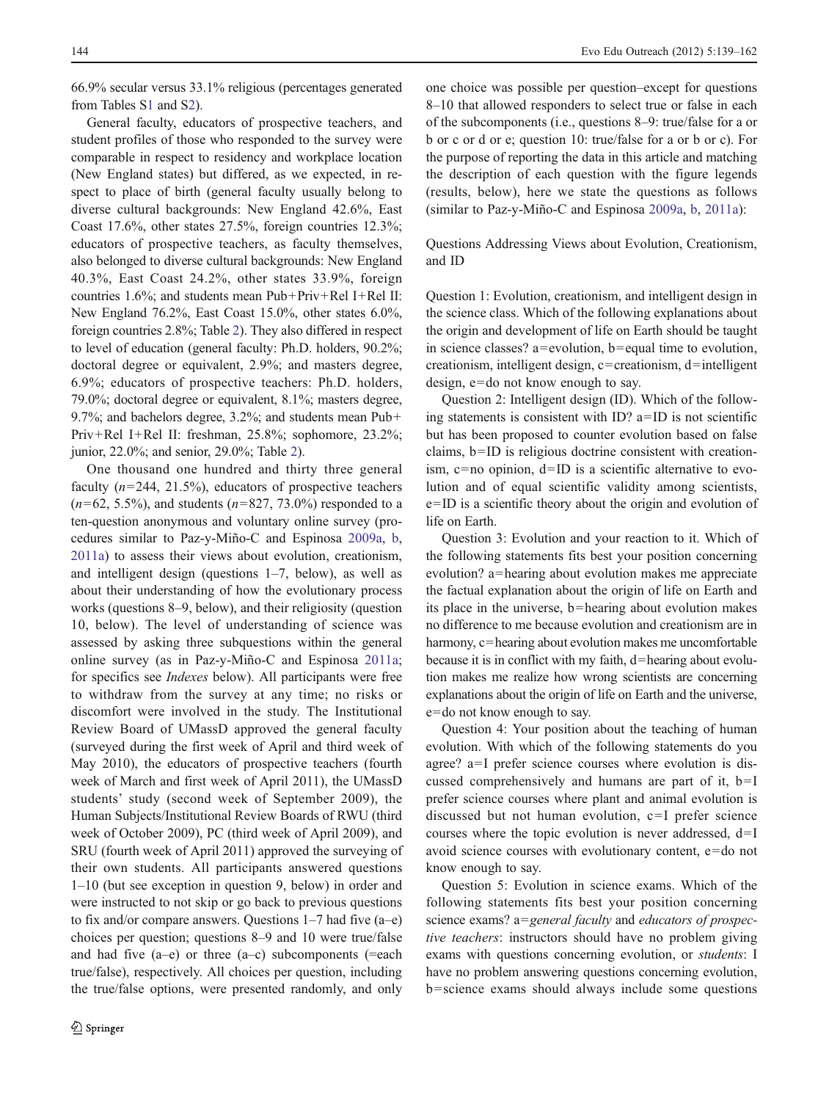66.9% secular versus 33.1% religious (percentages generated from Tables S1 and S2).

General faculty, educators of prospective teachers, and student profiles of those who responded to the survey were comparable in respect to residency and workplace location (New England states) but differed, as we expected, in respect to place of birth (general faculty usually belong to diverse cultural backgrounds: New England 42.6%, East Coast 17.6%, other states 27.5%, foreign countries 12.3%; educators of prospective teachers, as faculty themselves, also belonged to diverse cultural backgrounds: New England 40.3%, East Coast 24.2%, other states 33.9%, foreign countries 1.6%; and students mean Pub+Priv+Rel I+Rel II: New England 76.2%, East Coast 15.0%, other states 6.0%, foreign countries 2.8%; Table [2](#page-4-0)). They also differed in respect to level of education (general faculty: Ph.D. holders, 90.2%; doctoral degree or equivalent, 2.9%; and masters degree, 6.9%; educators of prospective teachers: Ph.D. holders, 79.0%; doctoral degree or equivalent, 8.1%; masters degree, 9.7%; and bachelors degree, 3.2%; and students mean Pub+ Priv+Rel I+Rel II: freshman, 25.8%; sophomore, 23.2%; junior, 22.0%; and senior, 29.0%; Table [2\)](#page-4-0).

One thousand one hundred and thirty three general faculty  $(n=244, 21.5%)$ , educators of prospective teachers  $(n=62, 5.5\%)$ , and students  $(n=827, 73.0\%)$  responded to a ten-question anonymous and voluntary online survey (procedures similar to Paz-y-Miño-C and Espinosa [2009a,](#page-23-0) [b,](#page-23-0) [2011a](#page-23-0)) to assess their views about evolution, creationism, and intelligent design (questions 1–7, below), as well as about their understanding of how the evolutionary process works (questions 8–9, below), and their religiosity (question 10, below). The level of understanding of science was assessed by asking three subquestions within the general online survey (as in Paz-y-Miño-C and Espinosa [2011a](#page-23-0); for specifics see Indexes below). All participants were free to withdraw from the survey at any time; no risks or discomfort were involved in the study. The Institutional Review Board of UMassD approved the general faculty (surveyed during the first week of April and third week of May 2010), the educators of prospective teachers (fourth week of March and first week of April 2011), the UMassD students' study (second week of September 2009), the Human Subjects/Institutional Review Boards of RWU (third week of October 2009), PC (third week of April 2009), and SRU (fourth week of April 2011) approved the surveying of their own students. All participants answered questions 1–10 (but see exception in question 9, below) in order and were instructed to not skip or go back to previous questions to fix and/or compare answers. Questions 1–7 had five (a–e) choices per question; questions 8–9 and 10 were true/false and had five  $(a-e)$  or three  $(a-c)$  subcomponents (=each true/false), respectively. All choices per question, including the true/false options, were presented randomly, and only

one choice was possible per question–except for questions 8–10 that allowed responders to select true or false in each of the subcomponents (i.e., questions 8–9: true/false for a or b or c or d or e; question 10: true/false for a or b or c). For the purpose of reporting the data in this article and matching the description of each question with the figure legends (results, below), here we state the questions as follows (similar to Paz-y-Miño-C and Espinosa [2009a,](#page-23-0) [b](#page-23-0), [2011a\)](#page-23-0):

Questions Addressing Views about Evolution, Creationism, and ID

Question 1: Evolution, creationism, and intelligent design in the science class. Which of the following explanations about the origin and development of life on Earth should be taught in science classes? a=evolution, b=equal time to evolution, creationism, intelligent design,  $c=$ creationism, d=intelligent design, e=do not know enough to say.

Question 2: Intelligent design (ID). Which of the following statements is consistent with ID?  $a=ID$  is not scientific but has been proposed to counter evolution based on false claims,  $b=ID$  is religious doctrine consistent with creationism,  $c = no$  opinion,  $d = ID$  is a scientific alternative to evolution and of equal scientific validity among scientists,  $e=ID$  is a scientific theory about the origin and evolution of life on Earth.

Question 3: Evolution and your reaction to it. Which of the following statements fits best your position concerning evolution? a=hearing about evolution makes me appreciate the factual explanation about the origin of life on Earth and its place in the universe,  $b$ =hearing about evolution makes no difference to me because evolution and creationism are in harmony, c=hearing about evolution makes me uncomfortable because it is in conflict with my faith,  $d=$  hearing about evolution makes me realize how wrong scientists are concerning explanations about the origin of life on Earth and the universe,  $e=$ do not know enough to say.

Question 4: Your position about the teaching of human evolution. With which of the following statements do you agree?  $a=I$  prefer science courses where evolution is discussed comprehensively and humans are part of it,  $b=I$ prefer science courses where plant and animal evolution is discussed but not human evolution,  $c=I$  prefer science courses where the topic evolution is never addressed,  $d=I$ avoid science courses with evolutionary content,  $e=do$  not know enough to say.

Question 5: Evolution in science exams. Which of the following statements fits best your position concerning science exams? a=general faculty and educators of prospective teachers: instructors should have no problem giving exams with questions concerning evolution, or students: I have no problem answering questions concerning evolution,  $b =$ science exams should always include some questions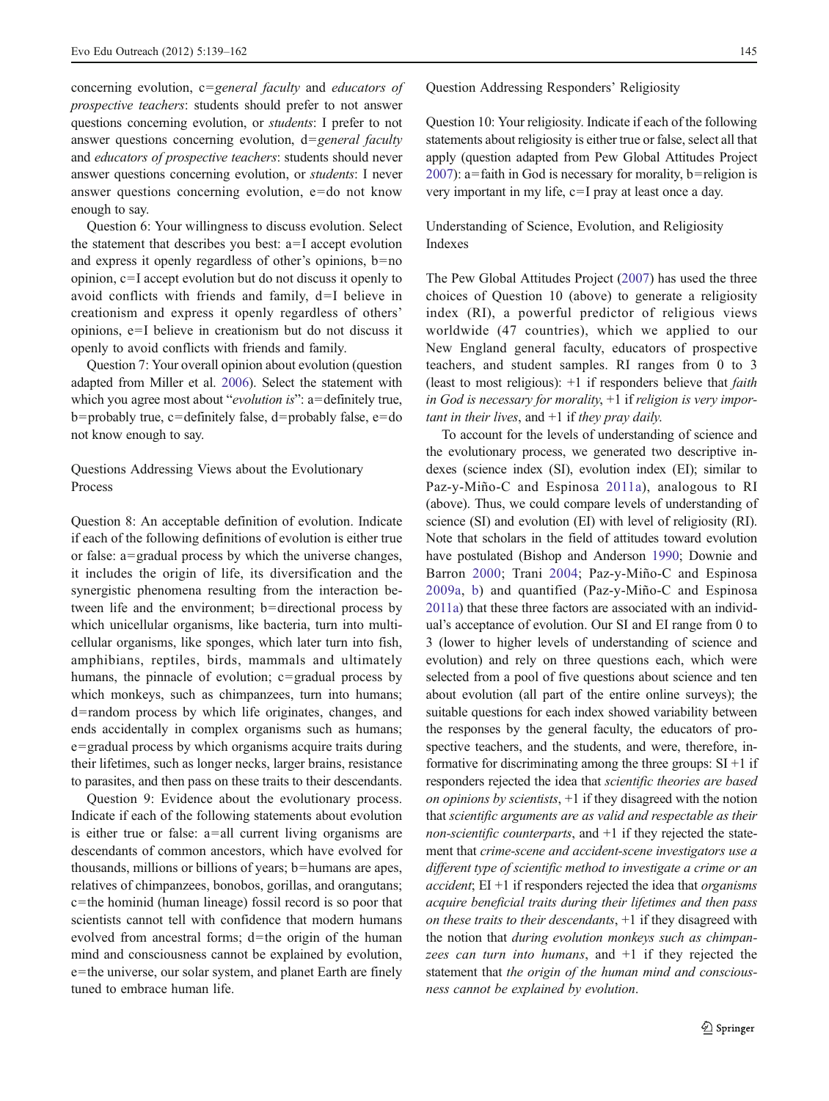concerning evolution,  $c = general$  faculty and educators of prospective teachers: students should prefer to not answer questions concerning evolution, or students: I prefer to not answer questions concerning evolution,  $d = general$  *faculty* and educators of prospective teachers: students should never answer questions concerning evolution, or students: I never answer questions concerning evolution,  $e=do$  not know enough to say.

Question 6: Your willingness to discuss evolution. Select the statement that describes you best:  $a=I$  accept evolution and express it openly regardless of other's opinions,  $b=no$ opinion,  $c=I$  accept evolution but do not discuss it openly to avoid conflicts with friends and family,  $d=I$  believe in creationism and express it openly regardless of others' opinions,  $e=I$  believe in creationism but do not discuss it openly to avoid conflicts with friends and family.

Question 7: Your overall opinion about evolution (question adapted from Miller et al. [2006\)](#page-22-0). Select the statement with which you agree most about "*evolution is*": a=definitely true, b=probably true, c=definitely false, d=probably false, e=do not know enough to say.

# Questions Addressing Views about the Evolutionary Process

Question 8: An acceptable definition of evolution. Indicate if each of the following definitions of evolution is either true or false:  $a = \text{gradual process}$  by which the universe changes, it includes the origin of life, its diversification and the synergistic phenomena resulting from the interaction between life and the environment; b=directional process by which unicellular organisms, like bacteria, turn into multicellular organisms, like sponges, which later turn into fish, amphibians, reptiles, birds, mammals and ultimately humans, the pinnacle of evolution;  $c = \text{gradual process by}$ which monkeys, such as chimpanzees, turn into humans; d=random process by which life originates, changes, and ends accidentally in complex organisms such as humans;  $e =$ gradual process by which organisms acquire traits during their lifetimes, such as longer necks, larger brains, resistance to parasites, and then pass on these traits to their descendants.

Question 9: Evidence about the evolutionary process. Indicate if each of the following statements about evolution is either true or false:  $a=$ all current living organisms are descendants of common ancestors, which have evolved for thousands, millions or billions of years;  $b =$ humans are apes, relatives of chimpanzees, bonobos, gorillas, and orangutans;  $c$ =the hominid (human lineage) fossil record is so poor that scientists cannot tell with confidence that modern humans evolved from ancestral forms;  $d$ =the origin of the human mind and consciousness cannot be explained by evolution, e=the universe, our solar system, and planet Earth are finely tuned to embrace human life.

Question Addressing Responders' Religiosity

Question 10: Your religiosity. Indicate if each of the following statements about religiosity is either true or false, select all that apply (question adapted from Pew Global Attitudes Project [2007\)](#page-23-0): a=faith in God is necessary for morality, b=religion is very important in my life,  $c=I$  pray at least once a day.

# Understanding of Science, Evolution, and Religiosity Indexes

The Pew Global Attitudes Project ([2007\)](#page-23-0) has used the three choices of Question 10 (above) to generate a religiosity index (RI), a powerful predictor of religious views worldwide (47 countries), which we applied to our New England general faculty, educators of prospective teachers, and student samples. RI ranges from 0 to 3 (least to most religious):  $+1$  if responders believe that *faith* in God is necessary for morality,  $+1$  if religion is very important in their lives, and  $+1$  if they pray daily.

To account for the levels of understanding of science and the evolutionary process, we generated two descriptive indexes (science index (SI), evolution index (EI); similar to Paz-y-Miño-C and Espinosa [2011a](#page-23-0)), analogous to RI (above). Thus, we could compare levels of understanding of science (SI) and evolution (EI) with level of religiosity (RI). Note that scholars in the field of attitudes toward evolution have postulated (Bishop and Anderson [1990](#page-22-0); Downie and Barron [2000](#page-22-0); Trani [2004;](#page-23-0) Paz-y-Miño-C and Espinosa [2009a](#page-23-0), [b](#page-23-0)) and quantified (Paz-y-Miño-C and Espinosa [2011a\)](#page-23-0) that these three factors are associated with an individual's acceptance of evolution. Our SI and EI range from 0 to 3 (lower to higher levels of understanding of science and evolution) and rely on three questions each, which were selected from a pool of five questions about science and ten about evolution (all part of the entire online surveys); the suitable questions for each index showed variability between the responses by the general faculty, the educators of prospective teachers, and the students, and were, therefore, informative for discriminating among the three groups:  $SI + 1$  if responders rejected the idea that scientific theories are based on opinions by scientists, +1 if they disagreed with the notion that scientific arguments are as valid and respectable as their non-scientific counterparts, and  $+1$  if they rejected the statement that crime-scene and accident-scene investigators use a different type of scientific method to investigate a crime or an  $accident$ ; EI +1 if responders rejected the idea that *organisms* acquire beneficial traits during their lifetimes and then pass on these traits to their descendants, +1 if they disagreed with the notion that during evolution monkeys such as chimpanzees can turn into humans, and +1 if they rejected the statement that the origin of the human mind and consciousness cannot be explained by evolution.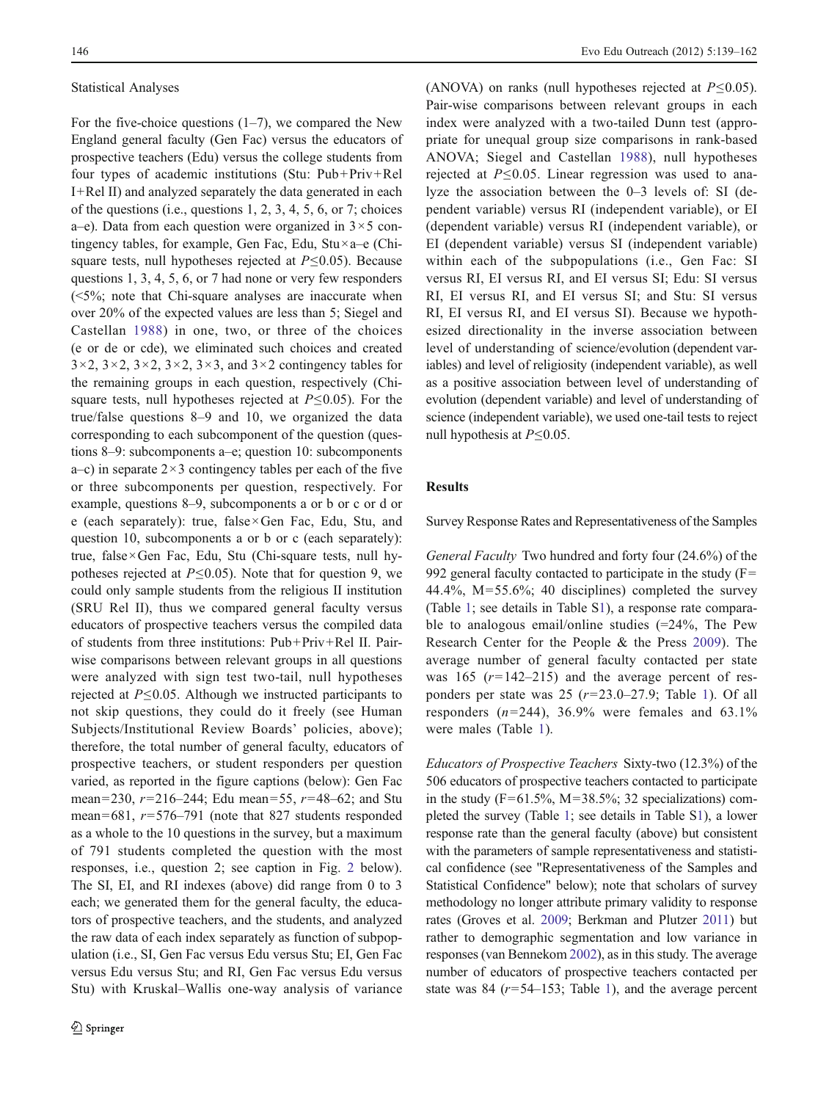#### Statistical Analyses

For the five-choice questions  $(1–7)$ , we compared the New England general faculty (Gen Fac) versus the educators of prospective teachers (Edu) versus the college students from four types of academic institutions (Stu: Pub+Priv+Rel I+Rel II) and analyzed separately the data generated in each of the questions (i.e., questions 1, 2, 3, 4, 5, 6, or 7; choices a–e). Data from each question were organized in  $3 \times 5$  contingency tables, for example, Gen Fac, Edu, Stu×a–e (Chisquare tests, null hypotheses rejected at  $P \leq 0.05$ ). Because questions 1, 3, 4, 5, 6, or 7 had none or very few responders (<5%; note that Chi-square analyses are inaccurate when over 20% of the expected values are less than 5; Siegel and Castellan [1988](#page-23-0)) in one, two, or three of the choices (e or de or cde), we eliminated such choices and created  $3\times 2$ ,  $3\times 2$ ,  $3\times 2$ ,  $3\times 2$ ,  $3\times 3$ , and  $3\times 2$  contingency tables for the remaining groups in each question, respectively (Chisquare tests, null hypotheses rejected at  $P \le 0.05$ ). For the true/false questions 8–9 and 10, we organized the data corresponding to each subcomponent of the question (questions 8–9: subcomponents a–e; question 10: subcomponents a–c) in separate  $2 \times 3$  contingency tables per each of the five or three subcomponents per question, respectively. For example, questions 8–9, subcomponents a or b or c or d or e (each separately): true, false×Gen Fac, Edu, Stu, and question 10, subcomponents a or b or c (each separately): true, false×Gen Fac, Edu, Stu (Chi-square tests, null hypotheses rejected at  $P \leq 0.05$ ). Note that for question 9, we could only sample students from the religious II institution (SRU Rel II), thus we compared general faculty versus educators of prospective teachers versus the compiled data of students from three institutions: Pub+Priv+Rel II. Pairwise comparisons between relevant groups in all questions were analyzed with sign test two-tail, null hypotheses rejected at  $P \leq 0.05$ . Although we instructed participants to not skip questions, they could do it freely (see Human Subjects/Institutional Review Boards' policies, above); therefore, the total number of general faculty, educators of prospective teachers, or student responders per question varied, as reported in the figure captions (below): Gen Fac mean=230,  $r=216-244$ ; Edu mean=55,  $r=48-62$ ; and Stu mean=681,  $r=576-791$  (note that 827 students responded as a whole to the 10 questions in the survey, but a maximum of 791 students completed the question with the most responses, i.e., question 2; see caption in Fig. [2](#page-9-0) below). The SI, EI, and RI indexes (above) did range from 0 to 3 each; we generated them for the general faculty, the educators of prospective teachers, and the students, and analyzed the raw data of each index separately as function of subpopulation (i.e., SI, Gen Fac versus Edu versus Stu; EI, Gen Fac versus Edu versus Stu; and RI, Gen Fac versus Edu versus Stu) with Kruskal–Wallis one-way analysis of variance

(ANOVA) on ranks (null hypotheses rejected at  $P \le 0.05$ ). Pair-wise comparisons between relevant groups in each index were analyzed with a two-tailed Dunn test (appropriate for unequal group size comparisons in rank-based ANOVA; Siegel and Castellan [1988\)](#page-23-0), null hypotheses rejected at  $P \le 0.05$ . Linear regression was used to analyze the association between the 0–3 levels of: SI (dependent variable) versus RI (independent variable), or EI (dependent variable) versus RI (independent variable), or EI (dependent variable) versus SI (independent variable) within each of the subpopulations (i.e., Gen Fac: SI versus RI, EI versus RI, and EI versus SI; Edu: SI versus RI, EI versus RI, and EI versus SI; and Stu: SI versus RI, EI versus RI, and EI versus SI). Because we hypothesized directionality in the inverse association between level of understanding of science/evolution (dependent variables) and level of religiosity (independent variable), as well as a positive association between level of understanding of evolution (dependent variable) and level of understanding of science (independent variable), we used one-tail tests to reject null hypothesis at  $P \leq 0.05$ .

# Results

Survey Response Rates and Representativeness of the Samples

General Faculty Two hundred and forty four (24.6%) of the 992 general faculty contacted to participate in the study  $(F=0)$ 44.4%,  $M=55.6\%$ ; 40 disciplines) completed the survey (Table [1](#page-3-0); see details in Table S1), a response rate comparable to analogous email/online studies  $(=24\%$ , The Pew Research Center for the People & the Press [2009](#page-23-0)). The average number of general faculty contacted per state was 165 ( $r=142-215$ ) and the average percent of responders per state was  $25$  ( $r=23.0-27.9$ ; Table [1\)](#page-3-0). Of all responders  $(n=244)$ , 36.9% were females and 63.1% were males (Table [1\)](#page-3-0).

Educators of Prospective Teachers Sixty-two (12.3%) of the 506 educators of prospective teachers contacted to participate in the study ( $F=61.5\%$ , M=38.5%; 32 specializations) completed the survey (Table [1](#page-3-0); see details in Table S1), a lower response rate than the general faculty (above) but consistent with the parameters of sample representativeness and statistical confidence (see "Representativeness of the Samples and Statistical Confidence" below); note that scholars of survey methodology no longer attribute primary validity to response rates (Groves et al. [2009](#page-22-0); Berkman and Plutzer [2011](#page-22-0)) but rather to demographic segmentation and low variance in responses (van Bennekom [2002\)](#page-23-0), as in this study. The average number of educators of prospective teachers contacted per state was 84 ( $r=54-153$ ; Table [1\)](#page-3-0), and the average percent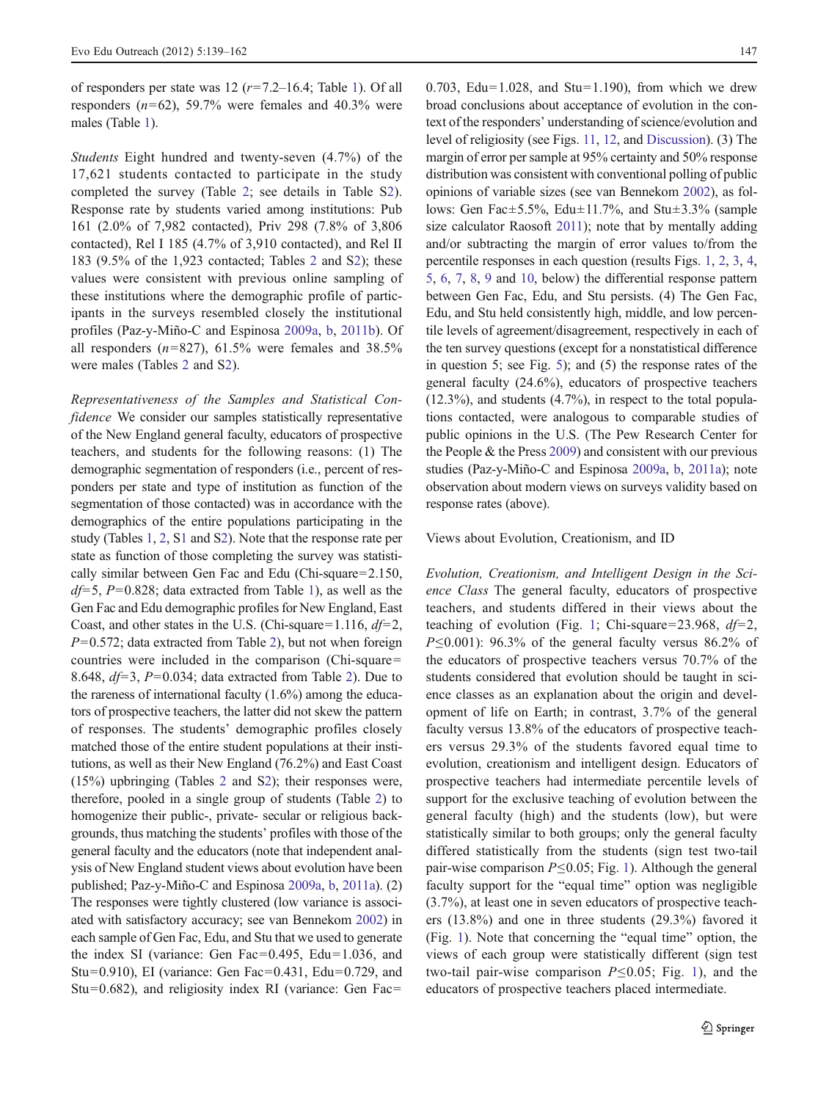of responders per state was 12  $(r=7.2-16.4;$  Table [1\)](#page-3-0). Of all responders  $(n=62)$ , 59.7% were females and 40.3% were males (Table [1](#page-3-0)).

Students Eight hundred and twenty-seven (4.7%) of the 17,621 students contacted to participate in the study completed the survey (Table [2](#page-4-0); see details in Table S2). Response rate by students varied among institutions: Pub 161 (2.0% of 7,982 contacted), Priv 298 (7.8% of 3,806 contacted), Rel I 185 (4.7% of 3,910 contacted), and Rel II 183 (9.5% of the 1,923 contacted; Tables [2](#page-4-0) and S2); these values were consistent with previous online sampling of these institutions where the demographic profile of participants in the surveys resembled closely the institutional profiles (Paz-y-Miño-C and Espinosa [2009a,](#page-23-0) [b](#page-23-0), [2011b\)](#page-23-0). Of all responders  $(n=827)$ , 61.5% were females and 38.5% were males (Tables [2](#page-4-0) and S2).

Representativeness of the Samples and Statistical Confidence We consider our samples statistically representative of the New England general faculty, educators of prospective teachers, and students for the following reasons: (1) The demographic segmentation of responders (i.e., percent of responders per state and type of institution as function of the segmentation of those contacted) was in accordance with the demographics of the entire populations participating in the study (Tables [1,](#page-3-0) [2,](#page-4-0) S1 and S2). Note that the response rate per state as function of those completing the survey was statistically similar between Gen Fac and Edu (Chi-square= $2.150$ ,  $df=5$ ,  $P=0.828$ ; data extracted from Table [1](#page-3-0)), as well as the Gen Fac and Edu demographic profiles for New England, East Coast, and other states in the U.S. (Chi-square=1.116,  $df=2$ ,  $P=0.572$ ; data extracted from Table [2\)](#page-4-0), but not when foreign countries were included in the comparison (Chi-square= 8.648,  $df=3$ ,  $P=0.034$ ; data extracted from Table [2](#page-4-0)). Due to the rareness of international faculty (1.6%) among the educators of prospective teachers, the latter did not skew the pattern of responses. The students' demographic profiles closely matched those of the entire student populations at their institutions, as well as their New England (76.2%) and East Coast (15%) upbringing (Tables [2](#page-4-0) and S2); their responses were, therefore, pooled in a single group of students (Table [2\)](#page-4-0) to homogenize their public-, private- secular or religious backgrounds, thus matching the students' profiles with those of the general faculty and the educators (note that independent analysis of New England student views about evolution have been published; Paz-y-Miño-C and Espinosa [2009a,](#page-23-0) [b,](#page-23-0) [2011a\)](#page-23-0). (2) The responses were tightly clustered (low variance is associated with satisfactory accuracy; see van Bennekom [2002](#page-23-0)) in each sample of Gen Fac, Edu, and Stu that we used to generate the index SI (variance: Gen Fac=0.495, Edu=1.036, and Stu=0.910), EI (variance: Gen Fac=0.431, Edu=0.729, and Stu=0.682), and religiosity index RI (variance: Gen Fac=

0.703, Edu=1.028, and Stu=1.190), from which we drew broad conclusions about acceptance of evolution in the context of the responders' understanding of science/evolution and level of religiosity (see Figs. [11](#page-15-0), [12](#page-16-0), and [Discussion](#page-17-0)). (3) The margin of error per sample at 95% certainty and 50% response distribution was consistent with conventional polling of public opinions of variable sizes (see van Bennekom [2002\)](#page-23-0), as follows: Gen Fac±5.5%, Edu±11.7%, and Stu±3.3% (sample size calculator Raosoft [2011](#page-23-0)); note that by mentally adding and/or subtracting the margin of error values to/from the percentile responses in each question (results Figs. [1](#page-9-0), [2,](#page-9-0) [3,](#page-9-0) [4,](#page-10-0) [5,](#page-10-0) [6,](#page-10-0) [7](#page-10-0), [8,](#page-11-0) [9](#page-11-0) and [10,](#page-12-0) below) the differential response pattern between Gen Fac, Edu, and Stu persists. (4) The Gen Fac, Edu, and Stu held consistently high, middle, and low percentile levels of agreement/disagreement, respectively in each of the ten survey questions (except for a nonstatistical difference in question 5; see Fig. [5\)](#page-10-0); and (5) the response rates of the general faculty (24.6%), educators of prospective teachers  $(12.3\%)$ , and students  $(4.7\%)$ , in respect to the total populations contacted, were analogous to comparable studies of public opinions in the U.S. (The Pew Research Center for the People & the Press [2009](#page-23-0)) and consistent with our previous studies (Paz-y-Miño-C and Espinosa [2009a](#page-23-0), [b](#page-23-0), [2011a](#page-23-0)); note observation about modern views on surveys validity based on response rates (above).

## Views about Evolution, Creationism, and ID

Evolution, Creationism, and Intelligent Design in the Science Class The general faculty, educators of prospective teachers, and students differed in their views about the teaching of evolution (Fig. [1](#page-9-0); Chi-square=23.968,  $df=2$ ,  $P \le 0.001$ : 96.3% of the general faculty versus 86.2% of the educators of prospective teachers versus 70.7% of the students considered that evolution should be taught in science classes as an explanation about the origin and development of life on Earth; in contrast, 3.7% of the general faculty versus 13.8% of the educators of prospective teachers versus 29.3% of the students favored equal time to evolution, creationism and intelligent design. Educators of prospective teachers had intermediate percentile levels of support for the exclusive teaching of evolution between the general faculty (high) and the students (low), but were statistically similar to both groups; only the general faculty differed statistically from the students (sign test two-tail pair-wise comparison P≤0.05; Fig. [1\)](#page-9-0). Although the general faculty support for the "equal time" option was negligible (3.7%), at least one in seven educators of prospective teachers (13.8%) and one in three students (29.3%) favored it (Fig. [1](#page-9-0)). Note that concerning the "equal time" option, the views of each group were statistically different (sign test two-tail pair-wise comparison  $P \le 0.05$ ; Fig. [1\)](#page-9-0), and the educators of prospective teachers placed intermediate.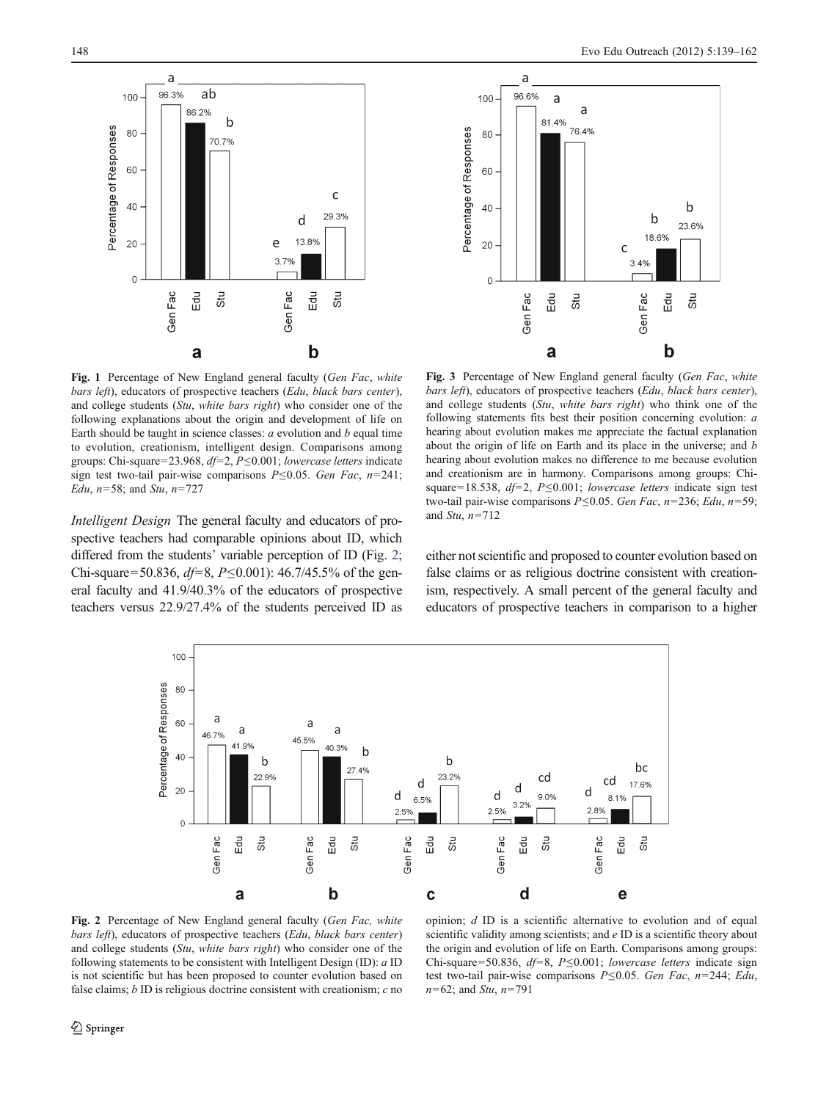<span id="page-9-0"></span>



Fig. 1 Percentage of New England general faculty (Gen Fac, white bars left), educators of prospective teachers (Edu, black bars center), and college students (Stu, white bars right) who consider one of the following explanations about the origin and development of life on Earth should be taught in science classes:  $a$  evolution and  $b$  equal time to evolution, creationism, intelligent design. Comparisons among groups: Chi-square=23.968,  $df=2$ ,  $P\leq0.001$ ; lowercase letters indicate sign test two-tail pair-wise comparisons  $P \le 0.05$ . Gen Fac, n=241; Edu,  $n=58$ ; and Stu,  $n=727$ 

Intelligent Design The general faculty and educators of prospective teachers had comparable opinions about ID, which differed from the students' variable perception of ID (Fig. 2; Chi-square=50.836,  $df=8$ ,  $P\leq0.001$ ): 46.7/45.5% of the general faculty and 41.9/40.3% of the educators of prospective teachers versus 22.9/27.4% of the students perceived ID as

Fig. 3 Percentage of New England general faculty (Gen Fac, white bars left), educators of prospective teachers (Edu, black bars center), and college students (Stu, white bars right) who think one of the following statements fits best their position concerning evolution: a hearing about evolution makes me appreciate the factual explanation about the origin of life on Earth and its place in the universe; and b hearing about evolution makes no difference to me because evolution and creationism are in harmony. Comparisons among groups: Chisquare=18.538,  $df=2$ , P≤0.001; lowercase letters indicate sign test two-tail pair-wise comparisons  $P \le 0.05$ . Gen Fac, n=236; Edu, n=59; and Stu,  $n=712$ 

either not scientific and proposed to counter evolution based on false claims or as religious doctrine consistent with creationism, respectively. A small percent of the general faculty and educators of prospective teachers in comparison to a higher



Fig. 2 Percentage of New England general faculty (Gen Fac, white bars left), educators of prospective teachers (Edu, black bars center) and college students (Stu, white bars right) who consider one of the following statements to be consistent with Intelligent Design (ID): a ID is not scientific but has been proposed to counter evolution based on false claims;  $b$  ID is religious doctrine consistent with creationism;  $c$  no

opinion; d ID is a scientific alternative to evolution and of equal scientific validity among scientists; and  $e$  ID is a scientific theory about the origin and evolution of life on Earth. Comparisons among groups: Chi-square=50.836,  $df=8$ , P≤0.001; lowercase letters indicate sign test two-tail pair-wise comparisons  $P \le 0.05$ . Gen Fac, n=244; Edu,  $n=62$ ; and *Stu*,  $n=791$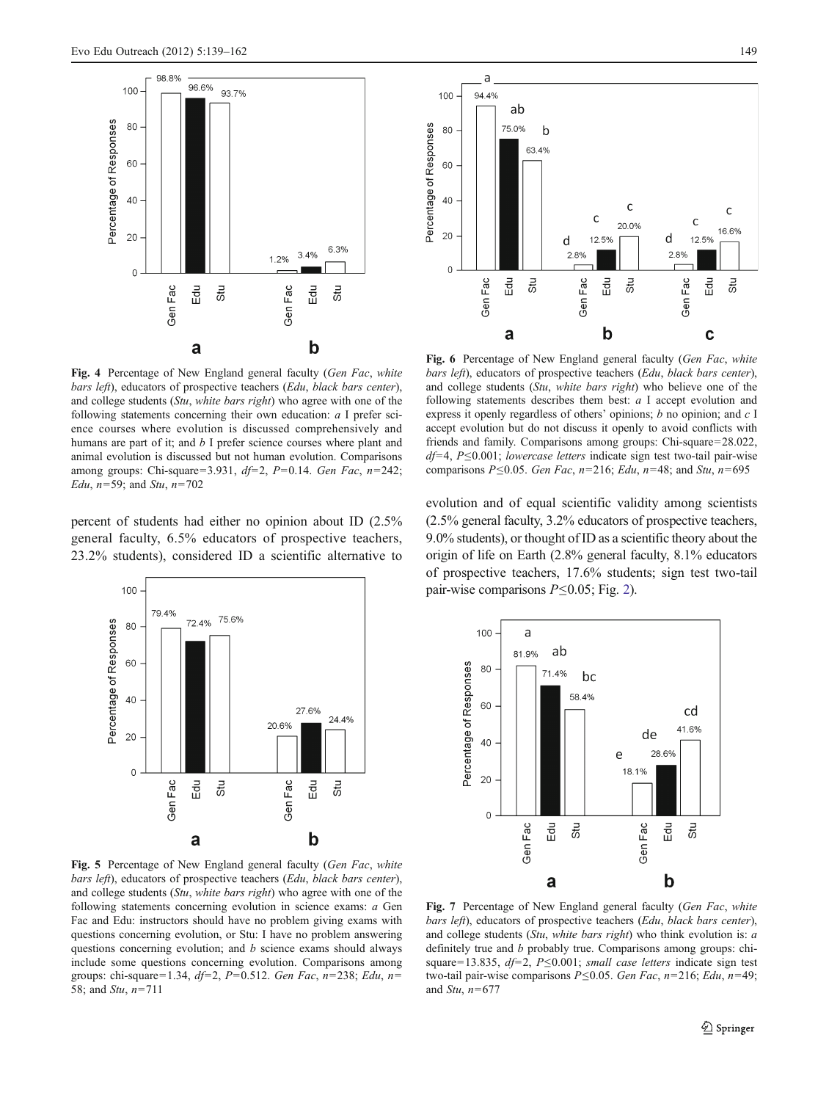<span id="page-10-0"></span>

Fig. 4 Percentage of New England general faculty (Gen Fac, white bars left), educators of prospective teachers (Edu, black bars center), and college students (Stu, white bars right) who agree with one of the following statements concerning their own education: a I prefer science courses where evolution is discussed comprehensively and humans are part of it; and b I prefer science courses where plant and animal evolution is discussed but not human evolution. Comparisons among groups: Chi-square=3.931,  $df=2$ , P=0.14. Gen Fac, n=242; Edu,  $n=59$ ; and Stu,  $n=702$ 

percent of students had either no opinion about ID (2.5% general faculty, 6.5% educators of prospective teachers, 23.2% students), considered ID a scientific alternative to





Fig. 6 Percentage of New England general faculty (Gen Fac, white bars left), educators of prospective teachers (Edu, black bars center), and college students (Stu, white bars right) who believe one of the following statements describes them best: a I accept evolution and express it openly regardless of others' opinions; b no opinion; and  $c \, I$ accept evolution but do not discuss it openly to avoid conflicts with friends and family. Comparisons among groups: Chi-square=28.022,  $df=4$ , P≤0.001; lowercase letters indicate sign test two-tail pair-wise comparisons P≤0.05. Gen Fac, n=216; Edu, n=48; and Stu, n=695

evolution and of equal scientific validity among scientists (2.5% general faculty, 3.2% educators of prospective teachers, 9.0% students), or thought of ID as a scientific theory about the origin of life on Earth (2.8% general faculty, 8.1% educators of prospective teachers, 17.6% students; sign test two-tail pair-wise comparisons  $P \le 0.05$ ; Fig. [2\)](#page-9-0).



Fig. 5 Percentage of New England general faculty (Gen Fac, white bars left), educators of prospective teachers (Edu, black bars center), and college students (Stu, white bars right) who agree with one of the following statements concerning evolution in science exams: a Gen Fac and Edu: instructors should have no problem giving exams with questions concerning evolution, or Stu: I have no problem answering questions concerning evolution; and b science exams should always include some questions concerning evolution. Comparisons among groups: chi-square=1.34, df=2, P=0.512. Gen Fac, n=238; Edu, n= 58; and *Stu*,  $n=711$ 

Fig. 7 Percentage of New England general faculty (Gen Fac, white bars left), educators of prospective teachers (Edu, black bars center), and college students (Stu, white bars right) who think evolution is: a definitely true and *b* probably true. Comparisons among groups: chisquare=13.835,  $df=2$ , P $\leq$ 0.001; small case letters indicate sign test two-tail pair-wise comparisons  $P \le 0.05$ . Gen Fac, n=216; Edu, n=49; and Stu,  $n=677$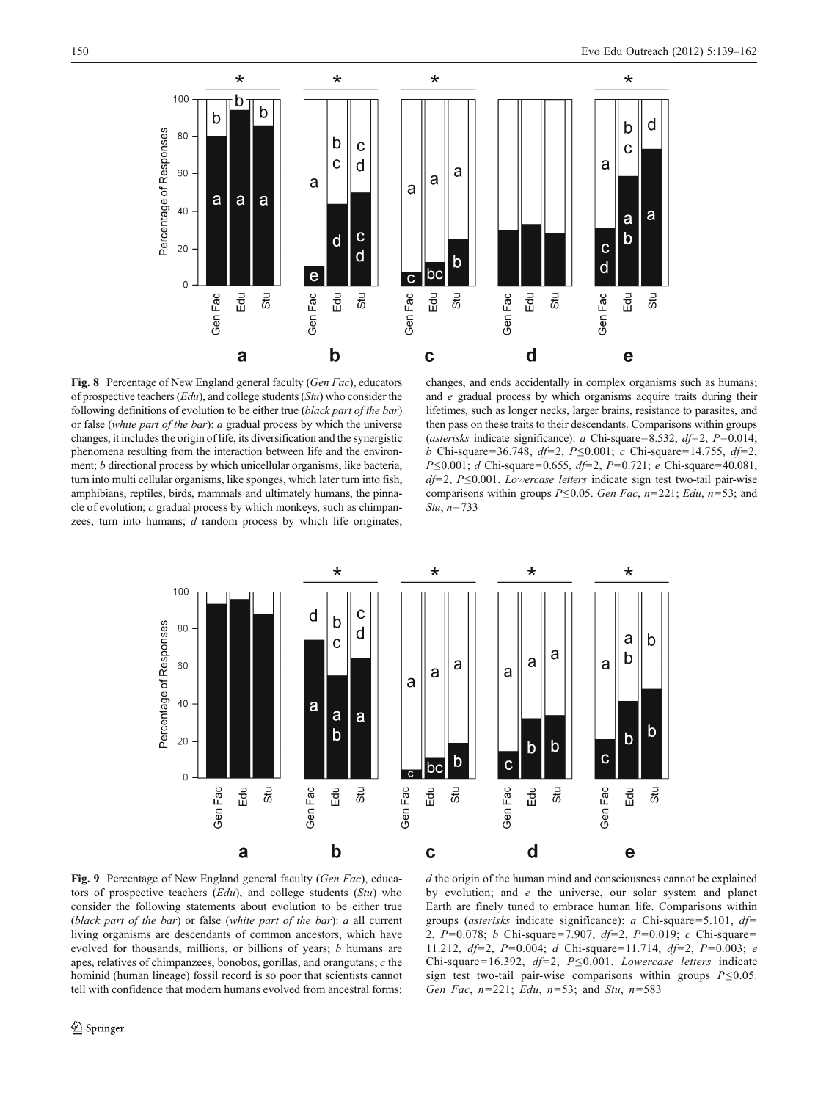<span id="page-11-0"></span>

Fig. 8 Percentage of New England general faculty (Gen Fac), educators of prospective teachers  $(Edu)$ , and college students  $(Stu)$  who consider the following definitions of evolution to be either true (black part of the bar) or false (white part of the bar): a gradual process by which the universe changes, it includes the origin of life, its diversification and the synergistic phenomena resulting from the interaction between life and the environment; b directional process by which unicellular organisms, like bacteria, turn into multi cellular organisms, like sponges, which later turn into fish, amphibians, reptiles, birds, mammals and ultimately humans, the pinnacle of evolution; c gradual process by which monkeys, such as chimpanzees, turn into humans;  $d$  random process by which life originates,

changes, and ends accidentally in complex organisms such as humans; and e gradual process by which organisms acquire traits during their lifetimes, such as longer necks, larger brains, resistance to parasites, and then pass on these traits to their descendants. Comparisons within groups (asterisks indicate significance): a Chi-square=8.532,  $df=2$ , P=0.014; b Chi-square=36.748, df=2, P≤0.001; c Chi-square=14.755, df=2, P  $\leq 0.001$ ; d Chi-square=0.655, df=2, P=0.721; e Chi-square=40.081,  $df=2$ , P $\leq$ 0.001. Lowercase letters indicate sign test two-tail pair-wise comparisons within groups  $P \le 0.05$ . Gen Fac, n=221; Edu, n=53; and Stu,  $n=733$ 



Fig. 9 Percentage of New England general faculty (Gen Fac), educators of prospective teachers  $(Edu)$ , and college students  $(Stu)$  who consider the following statements about evolution to be either true (black part of the bar) or false (white part of the bar): a all current living organisms are descendants of common ancestors, which have evolved for thousands, millions, or billions of years; b humans are apes, relatives of chimpanzees, bonobos, gorillas, and orangutans; c the hominid (human lineage) fossil record is so poor that scientists cannot tell with confidence that modern humans evolved from ancestral forms;

 $d$  the origin of the human mind and consciousness cannot be explained by evolution; and e the universe, our solar system and planet Earth are finely tuned to embrace human life. Comparisons within groups (*asterisks* indicate significance): a Chi-square=5.101,  $df=$ 2, P=0.078; b Chi-square=7.907, df=2, P=0.019; c Chi-square= 11.212,  $df=2$ , P=0.004; d Chi-square=11.714,  $df=2$ , P=0.003; e Chi-square=16.392, df=2, P≤0.001. Lowercase letters indicate sign test two-tail pair-wise comparisons within groups  $P \le 0.05$ . Gen Fac,  $n=221$ ; Edu,  $n=53$ ; and Stu,  $n=583$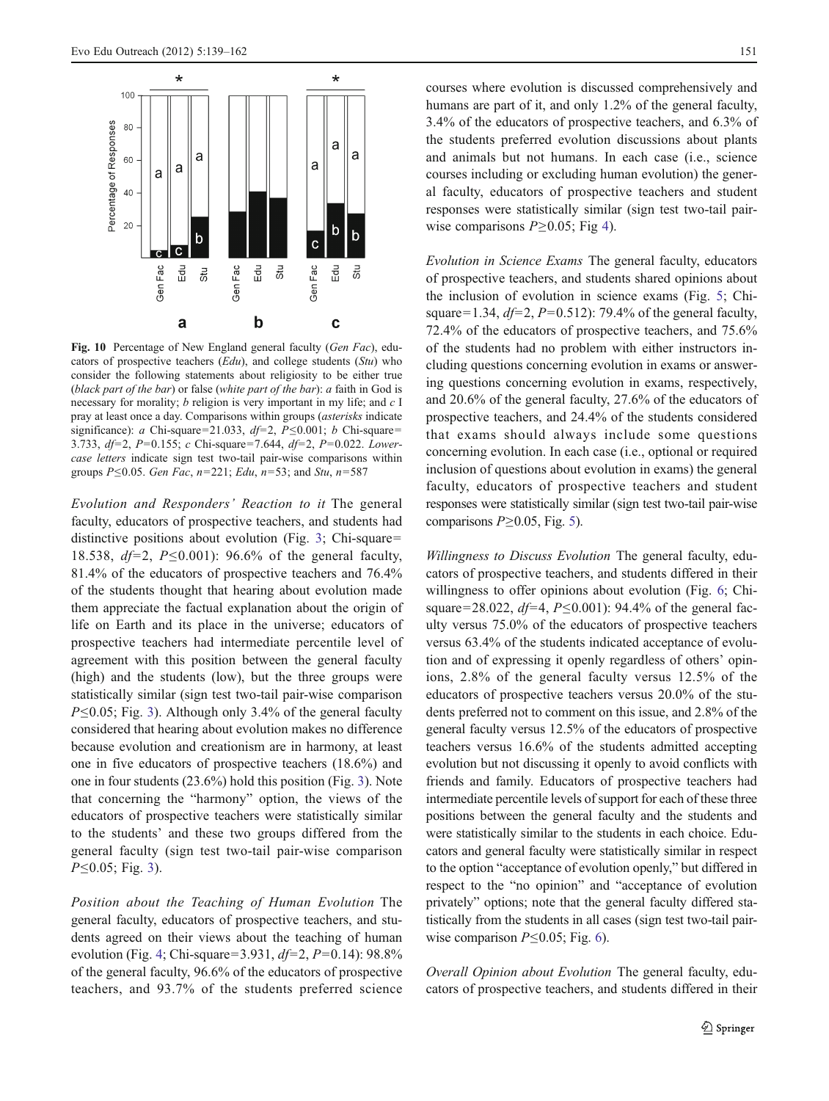<span id="page-12-0"></span>

Fig. 10 Percentage of New England general faculty (Gen Fac), educators of prospective teachers  $(Edu)$ , and college students  $(Stu)$  who consider the following statements about religiosity to be either true (black part of the bar) or false (white part of the bar): a faith in God is necessary for morality; b religion is very important in my life; and c I pray at least once a day. Comparisons within groups (asterisks indicate significance): a Chi-square=21.033, df=2, P≤0.001; b Chi-square= 3.733,  $df=2$ , P=0.155; c Chi-square=7.644,  $df=2$ , P=0.022. Lowercase letters indicate sign test two-tail pair-wise comparisons within groups  $P \le 0.05$ . Gen Fac, n=221; Edu, n=53; and Stu, n=587

Evolution and Responders' Reaction to it The general faculty, educators of prospective teachers, and students had distinctive positions about evolution (Fig. [3;](#page-9-0) Chi-square= 18.538,  $df=2$ ,  $P\leq0.001$ ): 96.6% of the general faculty, 81.4% of the educators of prospective teachers and 76.4% of the students thought that hearing about evolution made them appreciate the factual explanation about the origin of life on Earth and its place in the universe; educators of prospective teachers had intermediate percentile level of agreement with this position between the general faculty (high) and the students (low), but the three groups were statistically similar (sign test two-tail pair-wise comparison P≤0.05; Fig. [3\)](#page-9-0). Although only 3.4% of the general faculty considered that hearing about evolution makes no difference because evolution and creationism are in harmony, at least one in five educators of prospective teachers (18.6%) and one in four students (23.6%) hold this position (Fig. [3\)](#page-9-0). Note that concerning the "harmony" option, the views of the educators of prospective teachers were statistically similar to the students' and these two groups differed from the general faculty (sign test two-tail pair-wise comparison  $P \leq 0.05$ ; Fig. [3\)](#page-9-0).

Position about the Teaching of Human Evolution The general faculty, educators of prospective teachers, and students agreed on their views about the teaching of human evolution (Fig. [4;](#page-10-0) Chi-square=3.931,  $df=2$ , P=0.14): 98.8% of the general faculty, 96.6% of the educators of prospective teachers, and 93.7% of the students preferred science courses where evolution is discussed comprehensively and humans are part of it, and only 1.2% of the general faculty, 3.4% of the educators of prospective teachers, and 6.3% of the students preferred evolution discussions about plants and animals but not humans. In each case (i.e., science courses including or excluding human evolution) the general faculty, educators of prospective teachers and student responses were statistically similar (sign test two-tail pairwise comparisons  $P \ge 0.05$ ; Fig [4\)](#page-10-0).

Evolution in Science Exams The general faculty, educators of prospective teachers, and students shared opinions about the inclusion of evolution in science exams (Fig. [5;](#page-10-0) Chisquare=1.34,  $df=2$ ,  $P=0.512$ ): 79.4% of the general faculty, 72.4% of the educators of prospective teachers, and 75.6% of the students had no problem with either instructors including questions concerning evolution in exams or answering questions concerning evolution in exams, respectively, and 20.6% of the general faculty, 27.6% of the educators of prospective teachers, and 24.4% of the students considered that exams should always include some questions concerning evolution. In each case (i.e., optional or required inclusion of questions about evolution in exams) the general faculty, educators of prospective teachers and student responses were statistically similar (sign test two-tail pair-wise comparisons  $P \geq 0.05$ , Fig. [5\)](#page-10-0).

Willingness to Discuss Evolution The general faculty, educators of prospective teachers, and students differed in their willingness to offer opinions about evolution (Fig. [6](#page-10-0); Chisquare=28.022,  $df=4$ ,  $P\leq0.001$ ): 94.4% of the general faculty versus 75.0% of the educators of prospective teachers versus 63.4% of the students indicated acceptance of evolution and of expressing it openly regardless of others' opinions, 2.8% of the general faculty versus 12.5% of the educators of prospective teachers versus 20.0% of the students preferred not to comment on this issue, and 2.8% of the general faculty versus 12.5% of the educators of prospective teachers versus 16.6% of the students admitted accepting evolution but not discussing it openly to avoid conflicts with friends and family. Educators of prospective teachers had intermediate percentile levels of support for each of these three positions between the general faculty and the students and were statistically similar to the students in each choice. Educators and general faculty were statistically similar in respect to the option "acceptance of evolution openly," but differed in respect to the "no opinion" and "acceptance of evolution privately" options; note that the general faculty differed statistically from the students in all cases (sign test two-tail pairwise comparison  $P \leq 0.05$ ; Fig. [6\)](#page-10-0).

Overall Opinion about Evolution The general faculty, educators of prospective teachers, and students differed in their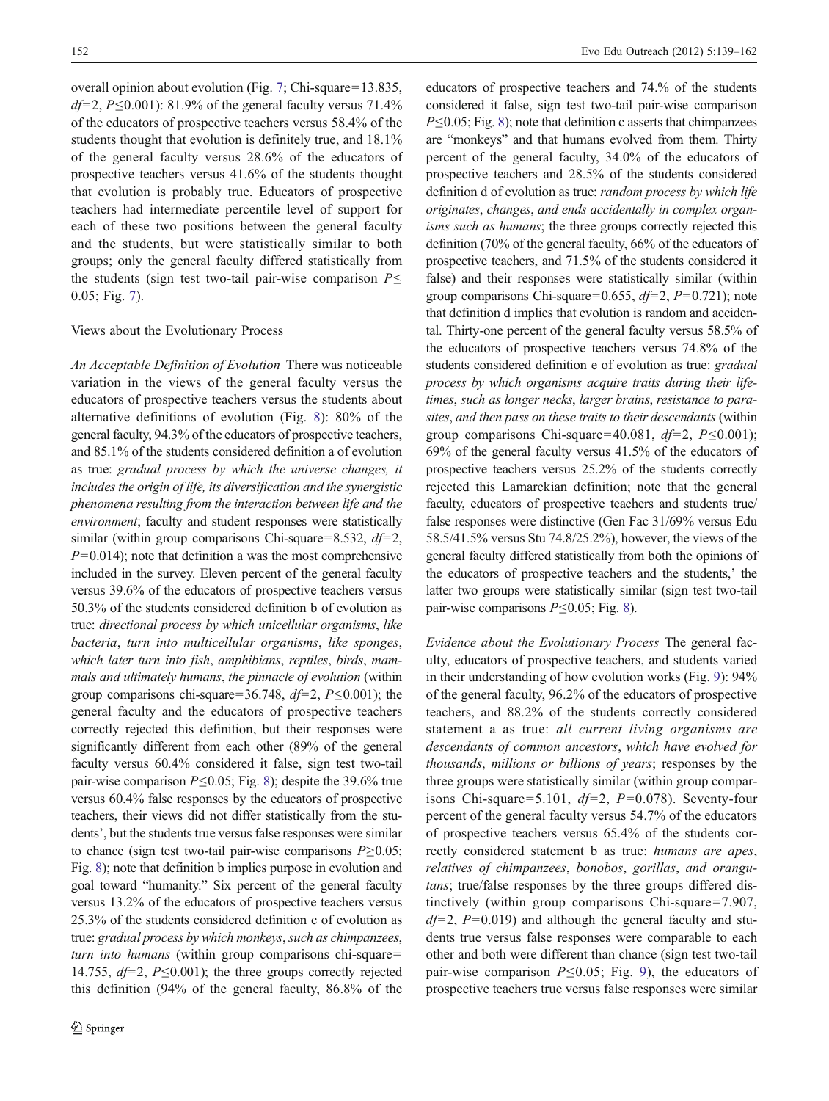overall opinion about evolution (Fig. [7;](#page-10-0) Chi-square=13.835,  $df=2$ ,  $P\leq0.001$ ): 81.9% of the general faculty versus 71.4% of the educators of prospective teachers versus 58.4% of the students thought that evolution is definitely true, and 18.1% of the general faculty versus 28.6% of the educators of prospective teachers versus 41.6% of the students thought that evolution is probably true. Educators of prospective teachers had intermediate percentile level of support for each of these two positions between the general faculty and the students, but were statistically similar to both groups; only the general faculty differed statistically from the students (sign test two-tail pair-wise comparison  $P \leq$ 0.05; Fig. [7\)](#page-10-0).

#### Views about the Evolutionary Process

An Acceptable Definition of Evolution There was noticeable variation in the views of the general faculty versus the educators of prospective teachers versus the students about alternative definitions of evolution (Fig. [8](#page-11-0)): 80% of the general faculty, 94.3% of the educators of prospective teachers, and 85.1% of the students considered definition a of evolution as true: gradual process by which the universe changes, it includes the origin of life, its diversification and the synergistic phenomena resulting from the interaction between life and the environment; faculty and student responses were statistically similar (within group comparisons Chi-square=8.532,  $df=2$ ,  $P=0.014$ ; note that definition a was the most comprehensive included in the survey. Eleven percent of the general faculty versus 39.6% of the educators of prospective teachers versus 50.3% of the students considered definition b of evolution as true: directional process by which unicellular organisms, like bacteria, turn into multicellular organisms, like sponges, which later turn into fish, amphibians, reptiles, birds, mammals and ultimately humans, the pinnacle of evolution (within group comparisons chi-square=36.748,  $df=2$ ,  $P\leq0.001$ ); the general faculty and the educators of prospective teachers correctly rejected this definition, but their responses were significantly different from each other (89% of the general faculty versus 60.4% considered it false, sign test two-tail pair-wise comparison  $P \le 0.05$ ; Fig. [8](#page-11-0)); despite the 39.6% true versus 60.4% false responses by the educators of prospective teachers, their views did not differ statistically from the students', but the students true versus false responses were similar to chance (sign test two-tail pair-wise comparisons  $P \ge 0.05$ ; Fig. [8](#page-11-0)); note that definition b implies purpose in evolution and goal toward "humanity." Six percent of the general faculty versus 13.2% of the educators of prospective teachers versus 25.3% of the students considered definition c of evolution as true: gradual process by which monkeys, such as chimpanzees, turn into humans (within group comparisons chi-square= 14.755,  $df=2$ ,  $P\leq0.001$ ); the three groups correctly rejected this definition (94% of the general faculty, 86.8% of the educators of prospective teachers and 74.% of the students considered it false, sign test two-tail pair-wise comparison  $P \le 0.05$ ; Fig. [8\)](#page-11-0); note that definition c asserts that chimpanzees are "monkeys" and that humans evolved from them. Thirty percent of the general faculty, 34.0% of the educators of prospective teachers and 28.5% of the students considered definition d of evolution as true: random process by which life originates, changes, and ends accidentally in complex organisms such as humans; the three groups correctly rejected this definition (70% of the general faculty, 66% of the educators of prospective teachers, and 71.5% of the students considered it false) and their responses were statistically similar (within group comparisons Chi-square=0.655,  $df=2$ ,  $P=0.721$ ); note that definition d implies that evolution is random and accidental. Thirty-one percent of the general faculty versus 58.5% of the educators of prospective teachers versus 74.8% of the students considered definition e of evolution as true: gradual process by which organisms acquire traits during their lifetimes, such as longer necks, larger brains, resistance to parasites, and then pass on these traits to their descendants (within group comparisons Chi-square=40.081,  $df=2$ ,  $P\leq0.001$ ); 69% of the general faculty versus 41.5% of the educators of prospective teachers versus 25.2% of the students correctly rejected this Lamarckian definition; note that the general faculty, educators of prospective teachers and students true/ false responses were distinctive (Gen Fac 31/69% versus Edu 58.5/41.5% versus Stu 74.8/25.2%), however, the views of the general faculty differed statistically from both the opinions of the educators of prospective teachers and the students,' the latter two groups were statistically similar (sign test two-tail pair-wise comparisons  $P \le 0.05$ ; Fig. [8\)](#page-11-0).

Evidence about the Evolutionary Process The general faculty, educators of prospective teachers, and students varied in their understanding of how evolution works (Fig. [9\)](#page-11-0): 94% of the general faculty, 96.2% of the educators of prospective teachers, and 88.2% of the students correctly considered statement a as true: all current living organisms are descendants of common ancestors, which have evolved for thousands, millions or billions of years; responses by the three groups were statistically similar (within group comparisons Chi-square=5.101,  $df=2$ ,  $P=0.078$ ). Seventy-four percent of the general faculty versus 54.7% of the educators of prospective teachers versus 65.4% of the students correctly considered statement b as true: humans are apes, relatives of chimpanzees, bonobos, gorillas, and orangutans; true/false responses by the three groups differed distinctively (within group comparisons Chi-square= $7.907$ ,  $df=2$ , P=0.019) and although the general faculty and students true versus false responses were comparable to each other and both were different than chance (sign test two-tail pair-wise comparison  $P \le 0.05$ ; Fig. [9\)](#page-11-0), the educators of prospective teachers true versus false responses were similar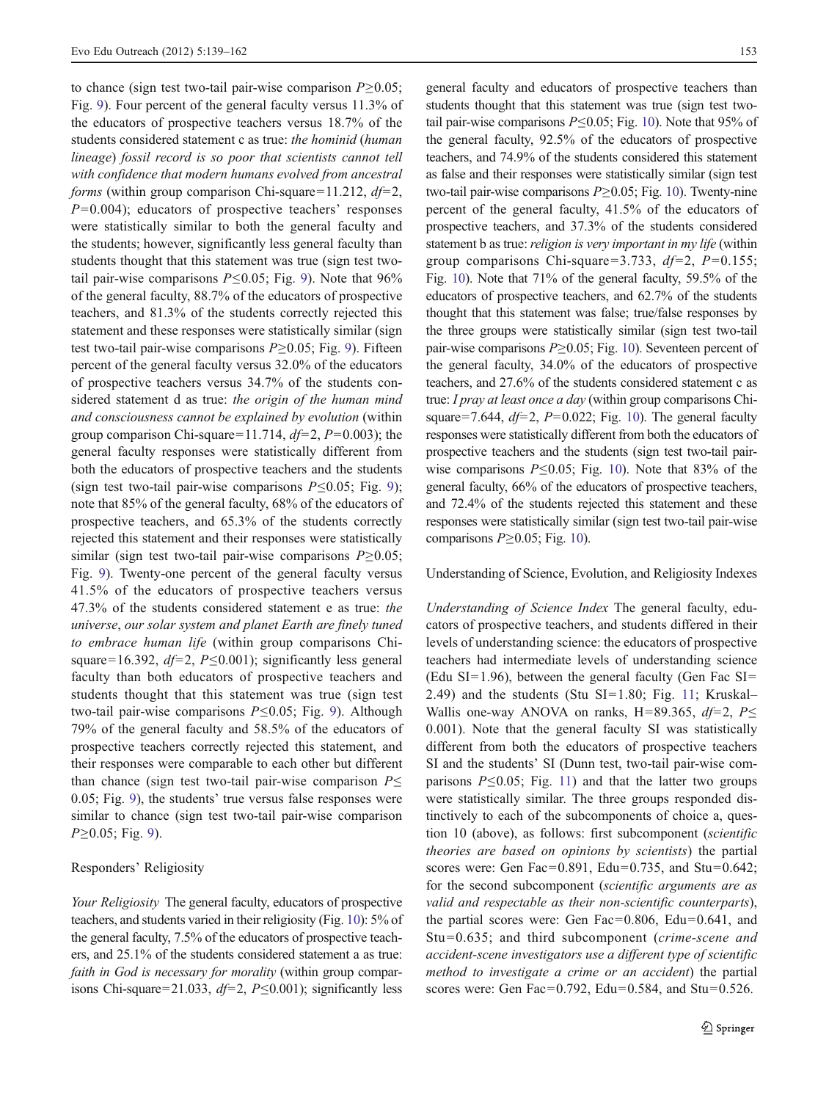to chance (sign test two-tail pair-wise comparison  $P>0.05$ ; Fig. [9\)](#page-11-0). Four percent of the general faculty versus 11.3% of the educators of prospective teachers versus 18.7% of the students considered statement c as true: the hominid (human lineage) fossil record is so poor that scientists cannot tell with confidence that modern humans evolved from ancestral forms (within group comparison Chi-square=11.212,  $df=2$ ,  $P=0.004$ ; educators of prospective teachers' responses were statistically similar to both the general faculty and the students; however, significantly less general faculty than students thought that this statement was true (sign test twotail pair-wise comparisons  $P \le 0.05$ ; Fig. [9](#page-11-0)). Note that 96% of the general faculty, 88.7% of the educators of prospective teachers, and 81.3% of the students correctly rejected this statement and these responses were statistically similar (sign test two-tail pair-wise comparisons  $P \ge 0.05$ ; Fig. [9\)](#page-11-0). Fifteen percent of the general faculty versus 32.0% of the educators of prospective teachers versus 34.7% of the students considered statement d as true: the origin of the human mind and consciousness cannot be explained by evolution (within group comparison Chi-square=11.714,  $df=2$ ,  $P=0.003$ ); the general faculty responses were statistically different from both the educators of prospective teachers and the students (sign test two-tail pair-wise comparisons  $P \le 0.05$ ; Fig. [9](#page-11-0)); note that 85% of the general faculty, 68% of the educators of prospective teachers, and 65.3% of the students correctly rejected this statement and their responses were statistically similar (sign test two-tail pair-wise comparisons  $P \ge 0.05$ ; Fig. [9\)](#page-11-0). Twenty-one percent of the general faculty versus 41.5% of the educators of prospective teachers versus 47.3% of the students considered statement e as true: the universe, our solar system and planet Earth are finely tuned to embrace human life (within group comparisons Chisquare=16.392,  $df=2$ , P≤0.001); significantly less general faculty than both educators of prospective teachers and students thought that this statement was true (sign test two-tail pair-wise comparisons P≤0.05; Fig. [9\)](#page-11-0). Although 79% of the general faculty and 58.5% of the educators of prospective teachers correctly rejected this statement, and their responses were comparable to each other but different than chance (sign test two-tail pair-wise comparison  $P \leq$ 0.05; Fig. [9\)](#page-11-0), the students' true versus false responses were similar to chance (sign test two-tail pair-wise comparison  $P \geq 0.05$ ; Fig. [9\)](#page-11-0).

#### Responders' Religiosity

Your Religiosity The general faculty, educators of prospective teachers, and students varied in their religiosity (Fig. [10\)](#page-12-0): 5% of the general faculty, 7.5% of the educators of prospective teachers, and 25.1% of the students considered statement a as true: faith in God is necessary for morality (within group comparisons Chi-square=21.033,  $df=2$ ,  $P\leq0.001$ ); significantly less

general faculty and educators of prospective teachers than students thought that this statement was true (sign test twotail pair-wise comparisons  $P \le 0.05$ ; Fig. [10](#page-12-0)). Note that 95% of the general faculty, 92.5% of the educators of prospective teachers, and 74.9% of the students considered this statement as false and their responses were statistically similar (sign test two-tail pair-wise comparisons  $P \ge 0.05$ ; Fig. [10](#page-12-0)). Twenty-nine percent of the general faculty, 41.5% of the educators of prospective teachers, and 37.3% of the students considered statement b as true: *religion is very important in my life* (within group comparisons Chi-square=3.733,  $df=2$ ,  $P=0.155$ ; Fig. [10](#page-12-0)). Note that 71% of the general faculty, 59.5% of the educators of prospective teachers, and 62.7% of the students thought that this statement was false; true/false responses by the three groups were statistically similar (sign test two-tail pair-wise comparisons  $P \ge 0.05$ ; Fig. [10](#page-12-0)). Seventeen percent of the general faculty, 34.0% of the educators of prospective teachers, and 27.6% of the students considered statement c as true: I pray at least once a day (within group comparisons Chisquare=7.644,  $df=2$ ,  $P=0.022$ ; Fig. [10\)](#page-12-0). The general faculty responses were statistically different from both the educators of prospective teachers and the students (sign test two-tail pairwise comparisons  $P \le 0.05$ ; Fig. [10\)](#page-12-0). Note that 83% of the general faculty, 66% of the educators of prospective teachers, and 72.4% of the students rejected this statement and these responses were statistically similar (sign test two-tail pair-wise comparisons  $P \ge 0.05$ ; Fig. [10](#page-12-0)).

Understanding of Science, Evolution, and Religiosity Indexes

Understanding of Science Index The general faculty, educators of prospective teachers, and students differed in their levels of understanding science: the educators of prospective teachers had intermediate levels of understanding science (Edu SI=1.96), between the general faculty (Gen Fac SI= 2.49) and the students (Stu SI=1.80; Fig. [11;](#page-15-0) Kruskal– Wallis one-way ANOVA on ranks, H=89.365,  $df=2$ ,  $P\leq$ 0.001). Note that the general faculty SI was statistically different from both the educators of prospective teachers SI and the students' SI (Dunn test, two-tail pair-wise comparisons  $P \le 0.05$ ; Fig. [11](#page-15-0)) and that the latter two groups were statistically similar. The three groups responded distinctively to each of the subcomponents of choice a, question 10 (above), as follows: first subcomponent (scientific theories are based on opinions by scientists) the partial scores were: Gen Fac=0.891, Edu=0.735, and Stu=0.642; for the second subcomponent (scientific arguments are as valid and respectable as their non-scientific counterparts), the partial scores were: Gen Fac=0.806, Edu=0.641, and Stu=0.635; and third subcomponent (crime-scene and accident-scene investigators use a different type of scientific method to investigate a crime or an accident) the partial scores were: Gen Fac=0.792, Edu=0.584, and Stu=0.526.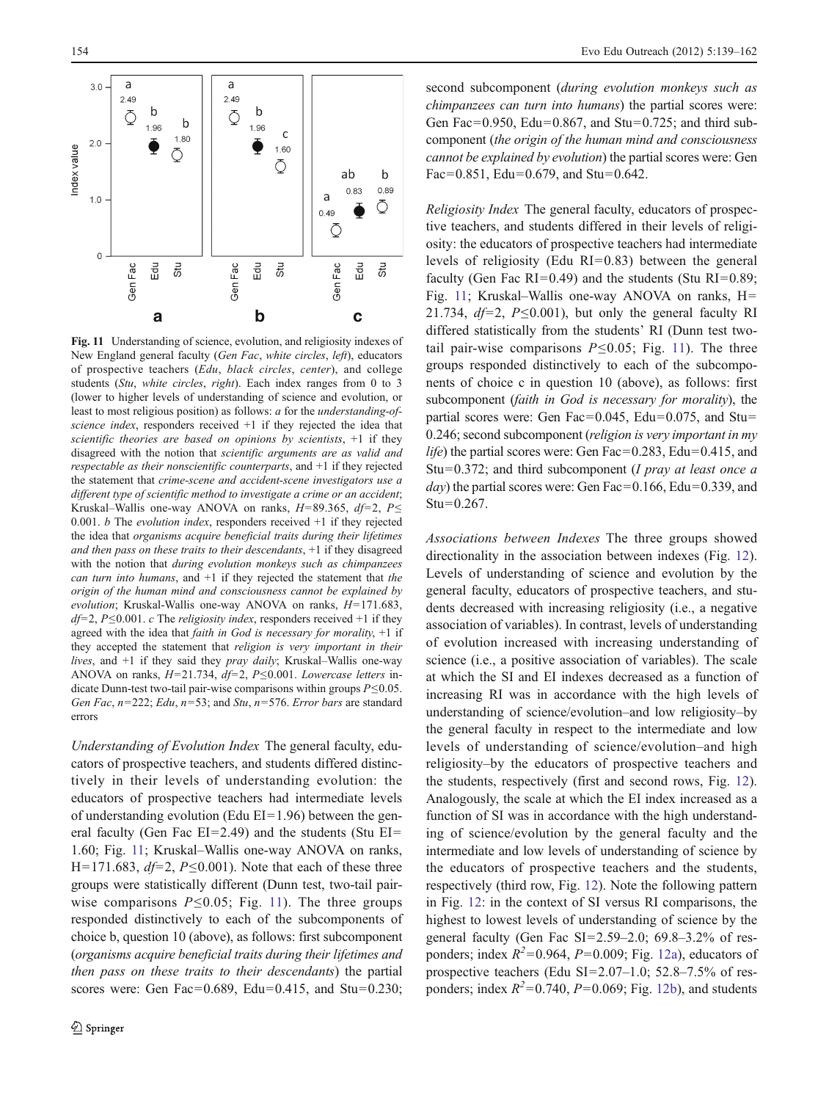<span id="page-15-0"></span>

Fig. 11 Understanding of science, evolution, and religiosity indexes of New England general faculty (Gen Fac, white circles, left), educators of prospective teachers (Edu, black circles, center), and college students (Stu, white circles, right). Each index ranges from 0 to 3 (lower to higher levels of understanding of science and evolution, or least to most religious position) as follows: a for the understanding-ofscience index, responders received +1 if they rejected the idea that scientific theories are based on opinions by scientists,  $+1$  if they disagreed with the notion that scientific arguments are as valid and respectable as their nonscientific counterparts, and +1 if they rejected the statement that crime-scene and accident-scene investigators use a different type of scientific method to investigate a crime or an accident; Kruskal–Wallis one-way ANOVA on ranks,  $H=89.365$ ,  $df=2$ ,  $P\leq$ 0.001.  $b$  The *evolution index*, responders received  $+1$  if they rejected the idea that organisms acquire beneficial traits during their lifetimes and then pass on these traits to their descendants, +1 if they disagreed with the notion that *during evolution monkeys such as chimpanzees* can turn into humans, and  $+1$  if they rejected the statement that the origin of the human mind and consciousness cannot be explained by evolution; Kruskal-Wallis one-way ANOVA on ranks,  $H=171.683$ ,  $df=2$ , P≤0.001. c The religiosity index, responders received +1 if they agreed with the idea that *faith in God is necessary for morality*,  $+1$  if they accepted the statement that religion is very important in their lives, and +1 if they said they pray daily; Kruskal–Wallis one-way ANOVA on ranks,  $H=21.734$ ,  $df=2$ ,  $P\leq0.001$ . Lowercase letters indicate Dunn-test two-tail pair-wise comparisons within groups  $P \le 0.05$ . Gen Fac,  $n=222$ ; Edu,  $n=53$ ; and Stu,  $n=576$ . Error bars are standard errors

Understanding of Evolution Index The general faculty, educators of prospective teachers, and students differed distinctively in their levels of understanding evolution: the educators of prospective teachers had intermediate levels of understanding evolution (Edu  $EI=1.96$ ) between the general faculty (Gen Fac  $EI=2.49$ ) and the students (Stu  $EI=$ 1.60; Fig. 11; Kruskal–Wallis one-way ANOVA on ranks, H=171.683,  $df=2$ , P $\leq$ 0.001). Note that each of these three groups were statistically different (Dunn test, two-tail pairwise comparisons  $P \le 0.05$ ; Fig. 11). The three groups responded distinctively to each of the subcomponents of choice b, question 10 (above), as follows: first subcomponent (organisms acquire beneficial traits during their lifetimes and then pass on these traits to their descendants) the partial scores were: Gen Fac=0.689, Edu=0.415, and Stu=0.230; second subcomponent (during evolution monkeys such as chimpanzees can turn into humans) the partial scores were: Gen Fac=0.950, Edu=0.867, and Stu=0.725; and third subcomponent (the origin of the human mind and consciousness cannot be explained by evolution) the partial scores were: Gen Fac=0.851, Edu=0.679, and Stu=0.642.

Religiosity Index The general faculty, educators of prospective teachers, and students differed in their levels of religiosity: the educators of prospective teachers had intermediate levels of religiosity (Edu  $RI=0.83$ ) between the general faculty (Gen Fac RI=0.49) and the students (Stu RI=0.89; Fig. 11; Kruskal–Wallis one-way ANOVA on ranks, H= 21.734,  $df=2$ , P $\leq$ 0.001), but only the general faculty RI differed statistically from the students' RI (Dunn test twotail pair-wise comparisons  $P \le 0.05$ ; Fig. 11). The three groups responded distinctively to each of the subcomponents of choice c in question 10 (above), as follows: first subcomponent (faith in God is necessary for morality), the partial scores were: Gen Fac=0.045, Edu=0.075, and Stu= 0.246; second subcomponent (religion is very important in my *life*) the partial scores were: Gen Fac=0.283, Edu=0.415, and Stu=0.372; and third subcomponent (I pray at least once a  $day$ ) the partial scores were: Gen Fac=0.166, Edu=0.339, and  $Stu=0.267$ .

Associations between Indexes The three groups showed directionality in the association between indexes (Fig. [12\)](#page-16-0). Levels of understanding of science and evolution by the general faculty, educators of prospective teachers, and students decreased with increasing religiosity (i.e., a negative association of variables). In contrast, levels of understanding of evolution increased with increasing understanding of science (i.e., a positive association of variables). The scale at which the SI and EI indexes decreased as a function of increasing RI was in accordance with the high levels of understanding of science/evolution–and low religiosity–by the general faculty in respect to the intermediate and low levels of understanding of science/evolution–and high religiosity–by the educators of prospective teachers and the students, respectively (first and second rows, Fig. [12\)](#page-16-0). Analogously, the scale at which the EI index increased as a function of SI was in accordance with the high understanding of science/evolution by the general faculty and the intermediate and low levels of understanding of science by the educators of prospective teachers and the students, respectively (third row, Fig. [12\)](#page-16-0). Note the following pattern in Fig. [12](#page-16-0): in the context of SI versus RI comparisons, the highest to lowest levels of understanding of science by the general faculty (Gen Fac  $SI=2.59-2.0$ ; 69.8–3.2% of responders; index  $R^2$ =0.964, P=0.009; Fig. [12a\)](#page-16-0), educators of prospective teachers (Edu SI= $2.07-1.0$ ; 52.8–7.5% of responders; index  $R^2$ =0.740,  $P$ =0.069; Fig. [12b\)](#page-16-0), and students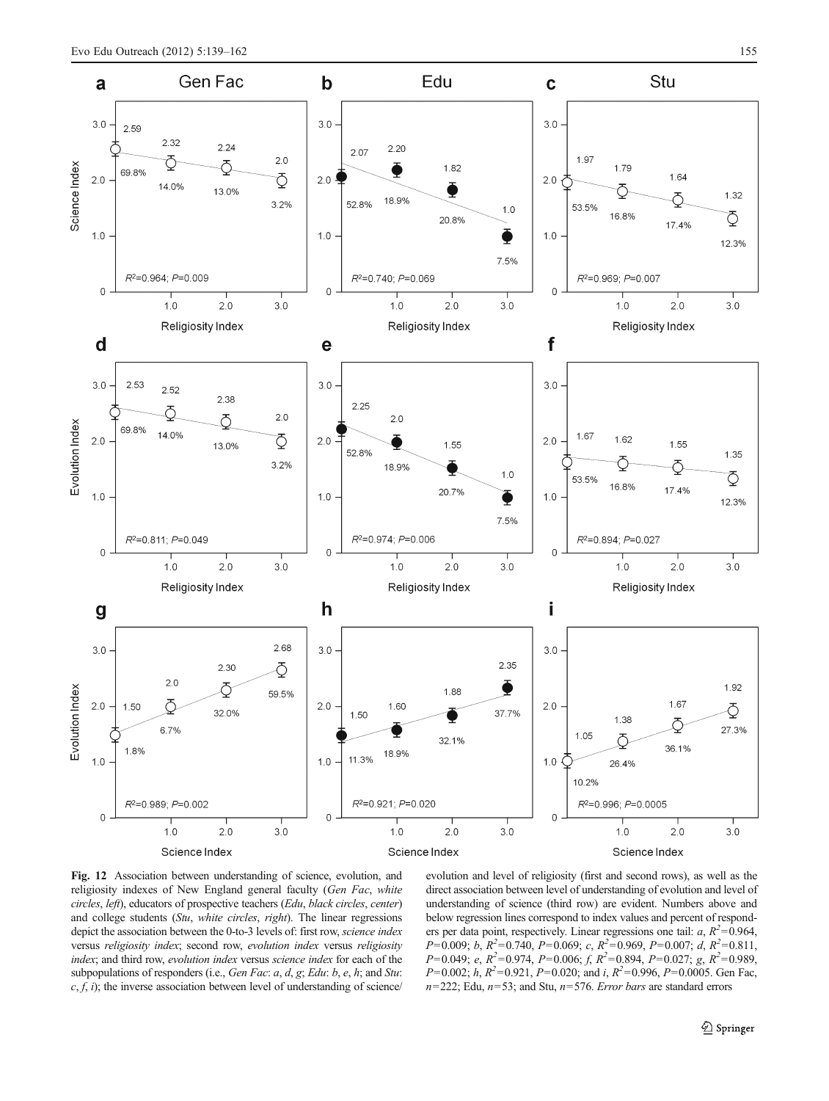<span id="page-16-0"></span>

Fig. 12 Association between understanding of science, evolution, and religiosity indexes of New England general faculty (Gen Fac, white circles, left), educators of prospective teachers (Edu, black circles, center) and college students (Stu, white circles, right). The linear regressions depict the association between the 0-to-3 levels of: first row, science index versus religiosity index; second row, evolution index versus religiosity index; and third row, evolution index versus science index for each of the subpopulations of responders (i.e., Gen Fac: a, d, g; Edu: b, e, h; and Stu:  $c, f, i$ ; the inverse association between level of understanding of science/

evolution and level of religiosity (first and second rows), as well as the direct association between level of understanding of evolution and level of understanding of science (third row) are evident. Numbers above and below regression lines correspond to index values and percent of responders per data point, respectively. Linear regressions one tail:  $a, R^2 = 0.964$ ,  $P=0.009; b, R^2=0.740, P=0.069; c, R^2=0.969, P=0.007; d, R^2=0.811,$  $P=0.049$ ; e,  $R^2=0.974$ ,  $P=0.006$ ; f,  $R^2=0.894$ ,  $P=0.027$ ; g,  $R^2=0.989$ ,  $P=0.002$ ; h,  $R^2=0.921$ ,  $P=0.020$ ; and i,  $R^2=0.996$ ,  $P=0.0005$ . Gen Fac,  $n=222$ ; Edu,  $n=53$ ; and Stu,  $n=576$ . Error bars are standard errors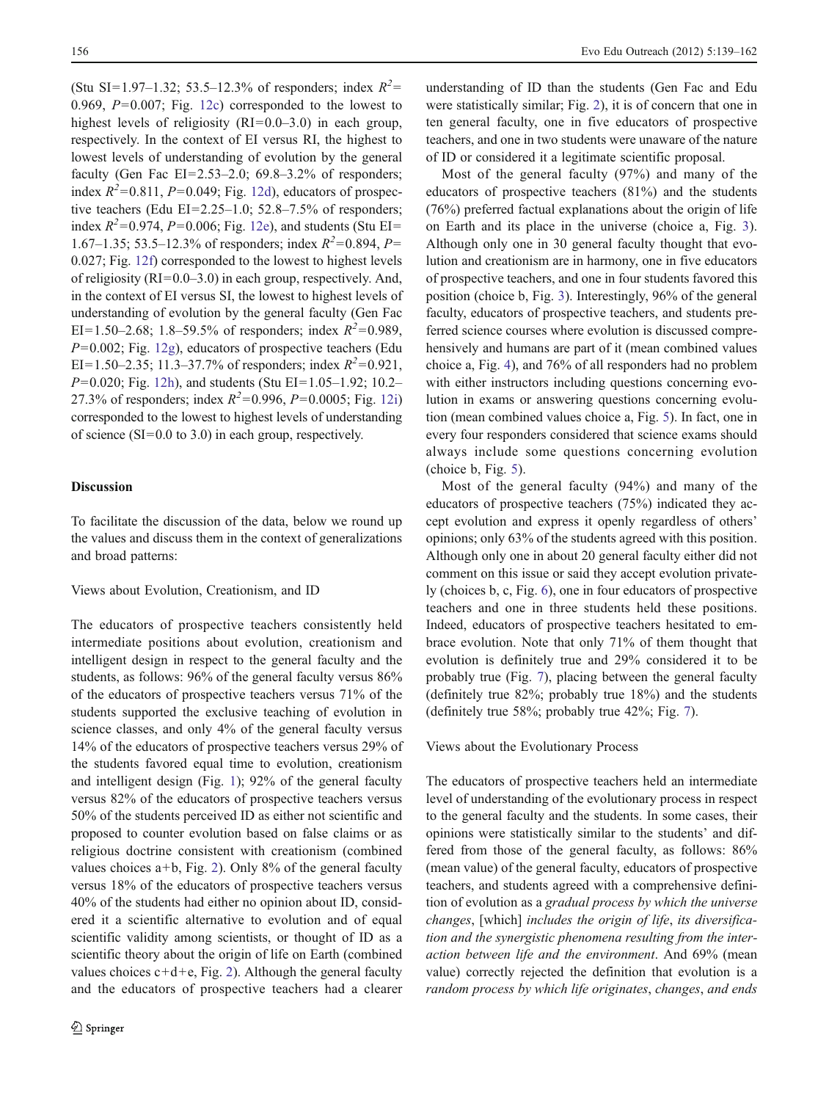<span id="page-17-0"></span>(Stu SI=1.97–1.32; 53.5–12.3% of responders; index  $R^2$ = 0.969,  $P=0.007$ ; Fig. [12c\)](#page-16-0) corresponded to the lowest to highest levels of religiosity  $(RI=0.0-3.0)$  in each group, respectively. In the context of EI versus RI, the highest to lowest levels of understanding of evolution by the general faculty (Gen Fac  $EI=2.53-2.0$ ; 69.8-3.2% of responders; index  $R^2$ =0.811, P=0.049; Fig. [12d](#page-16-0)), educators of prospective teachers (Edu EI= $2.25-1.0$ ; 52.8–7.5% of responders; index  $R^2 = 0.974$ ,  $P=0.006$ ; Fig. [12e\)](#page-16-0), and students (Stu EI= 1.67–1.35; 53.5–12.3% of responders; index  $R^2$ =0.894, P= 0.027; Fig. [12f](#page-16-0)) corresponded to the lowest to highest levels of religiosity ( $RI=0.0-3.0$ ) in each group, respectively. And, in the context of EI versus SI, the lowest to highest levels of understanding of evolution by the general faculty (Gen Fac EI=1.50–2.68; 1.8–59.5% of responders; index  $R^2$ =0.989,  $P=0.002$ ; Fig. [12g\)](#page-16-0), educators of prospective teachers (Edu EI=1.50–2.35; 11.3–37.7% of responders; index  $R^2$ =0.921,  $P=0.020$ ; Fig. [12h](#page-16-0)), and students (Stu EI=1.05–1.92; 10.2– 27.3% of responders; index  $R^2 = 0.996$ ,  $P=0.0005$ ; Fig. [12i\)](#page-16-0) corresponded to the lowest to highest levels of understanding of science  $(SI=0.0 \text{ to } 3.0)$  in each group, respectively.

# Discussion

To facilitate the discussion of the data, below we round up the values and discuss them in the context of generalizations and broad patterns:

## Views about Evolution, Creationism, and ID

The educators of prospective teachers consistently held intermediate positions about evolution, creationism and intelligent design in respect to the general faculty and the students, as follows: 96% of the general faculty versus 86% of the educators of prospective teachers versus 71% of the students supported the exclusive teaching of evolution in science classes, and only 4% of the general faculty versus 14% of the educators of prospective teachers versus 29% of the students favored equal time to evolution, creationism and intelligent design (Fig. [1\)](#page-9-0); 92% of the general faculty versus 82% of the educators of prospective teachers versus 50% of the students perceived ID as either not scientific and proposed to counter evolution based on false claims or as religious doctrine consistent with creationism (combined values choices  $a+b$ , Fig. [2\)](#page-9-0). Only 8% of the general faculty versus 18% of the educators of prospective teachers versus 40% of the students had either no opinion about ID, considered it a scientific alternative to evolution and of equal scientific validity among scientists, or thought of ID as a scientific theory about the origin of life on Earth (combined values choices  $c+d+e$ , Fig. [2](#page-9-0)). Although the general faculty and the educators of prospective teachers had a clearer

understanding of ID than the students (Gen Fac and Edu were statistically similar; Fig. [2](#page-9-0)), it is of concern that one in ten general faculty, one in five educators of prospective teachers, and one in two students were unaware of the nature of ID or considered it a legitimate scientific proposal.

Most of the general faculty (97%) and many of the educators of prospective teachers (81%) and the students (76%) preferred factual explanations about the origin of life on Earth and its place in the universe (choice a, Fig. [3\)](#page-9-0). Although only one in 30 general faculty thought that evolution and creationism are in harmony, one in five educators of prospective teachers, and one in four students favored this position (choice b, Fig. [3](#page-9-0)). Interestingly, 96% of the general faculty, educators of prospective teachers, and students preferred science courses where evolution is discussed comprehensively and humans are part of it (mean combined values choice a, Fig. [4](#page-10-0)), and 76% of all responders had no problem with either instructors including questions concerning evolution in exams or answering questions concerning evolution (mean combined values choice a, Fig. [5](#page-10-0)). In fact, one in every four responders considered that science exams should always include some questions concerning evolution (choice b, Fig. [5](#page-10-0)).

Most of the general faculty (94%) and many of the educators of prospective teachers (75%) indicated they accept evolution and express it openly regardless of others' opinions; only 63% of the students agreed with this position. Although only one in about 20 general faculty either did not comment on this issue or said they accept evolution privately (choices b, c, Fig. [6\)](#page-10-0), one in four educators of prospective teachers and one in three students held these positions. Indeed, educators of prospective teachers hesitated to embrace evolution. Note that only 71% of them thought that evolution is definitely true and 29% considered it to be probably true (Fig. [7\)](#page-10-0), placing between the general faculty (definitely true 82%; probably true 18%) and the students (definitely true 58%; probably true 42%; Fig. [7](#page-10-0)).

Views about the Evolutionary Process

The educators of prospective teachers held an intermediate level of understanding of the evolutionary process in respect to the general faculty and the students. In some cases, their opinions were statistically similar to the students' and differed from those of the general faculty, as follows: 86% (mean value) of the general faculty, educators of prospective teachers, and students agreed with a comprehensive definition of evolution as a gradual process by which the universe changes, [which] includes the origin of life, its diversification and the synergistic phenomena resulting from the interaction between life and the environment. And 69% (mean value) correctly rejected the definition that evolution is a random process by which life originates, changes, and ends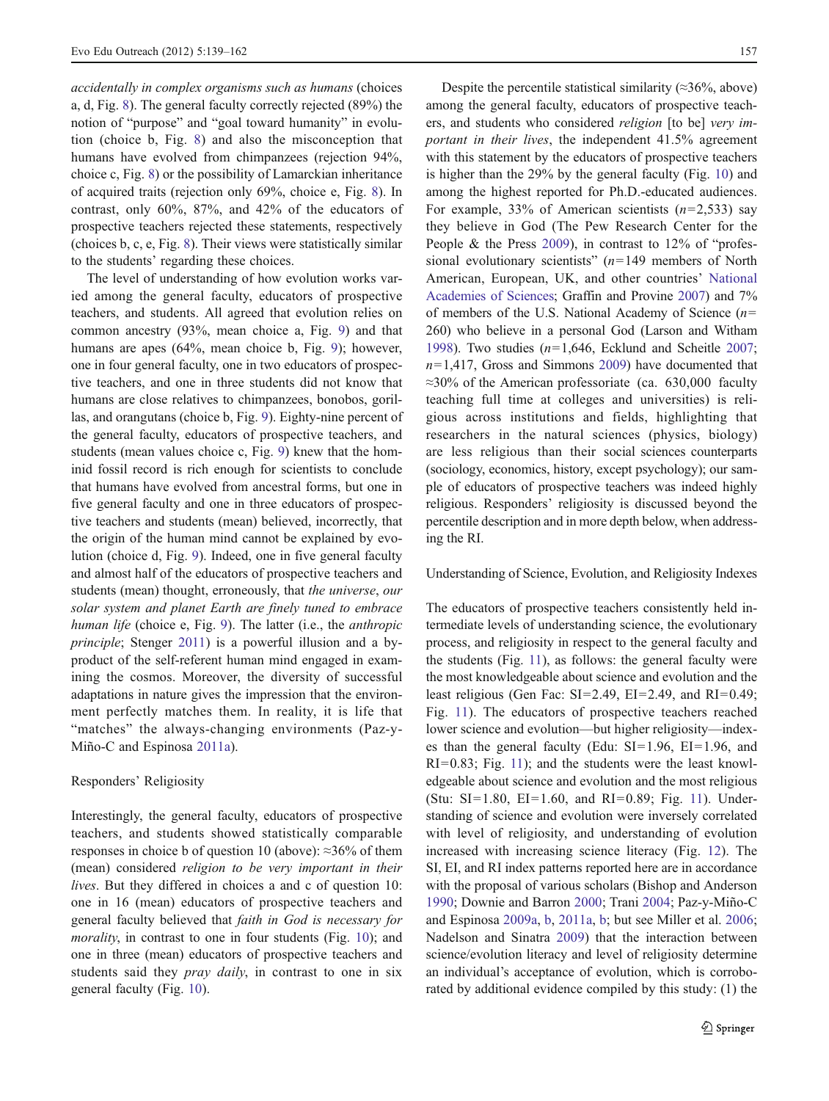accidentally in complex organisms such as humans (choices a, d, Fig. [8\)](#page-11-0). The general faculty correctly rejected (89%) the notion of "purpose" and "goal toward humanity" in evolution (choice b, Fig. [8](#page-11-0)) and also the misconception that humans have evolved from chimpanzees (rejection 94%, choice c, Fig. [8](#page-11-0)) or the possibility of Lamarckian inheritance of acquired traits (rejection only 69%, choice e, Fig. [8\)](#page-11-0). In contrast, only 60%, 87%, and 42% of the educators of prospective teachers rejected these statements, respectively (choices b, c, e, Fig. [8\)](#page-11-0). Their views were statistically similar to the students' regarding these choices.

The level of understanding of how evolution works varied among the general faculty, educators of prospective teachers, and students. All agreed that evolution relies on common ancestry (93%, mean choice a, Fig. [9](#page-11-0)) and that humans are apes (64%, mean choice b, Fig. [9\)](#page-11-0); however, one in four general faculty, one in two educators of prospective teachers, and one in three students did not know that humans are close relatives to chimpanzees, bonobos, gorillas, and orangutans (choice b, Fig. [9\)](#page-11-0). Eighty-nine percent of the general faculty, educators of prospective teachers, and students (mean values choice c, Fig. [9\)](#page-11-0) knew that the hominid fossil record is rich enough for scientists to conclude that humans have evolved from ancestral forms, but one in five general faculty and one in three educators of prospective teachers and students (mean) believed, incorrectly, that the origin of the human mind cannot be explained by evolution (choice d, Fig. [9\)](#page-11-0). Indeed, one in five general faculty and almost half of the educators of prospective teachers and students (mean) thought, erroneously, that the universe, our solar system and planet Earth are finely tuned to embrace human life (choice e, Fig. [9\)](#page-11-0). The latter (i.e., the *anthropic* principle; Stenger [2011\)](#page-23-0) is a powerful illusion and a byproduct of the self-referent human mind engaged in examining the cosmos. Moreover, the diversity of successful adaptations in nature gives the impression that the environment perfectly matches them. In reality, it is life that "matches" the always-changing environments (Paz-y-Miño-C and Espinosa [2011a\)](#page-23-0).

## Responders' Religiosity

Interestingly, the general faculty, educators of prospective teachers, and students showed statistically comparable responses in choice b of question 10 (above):  $\approx 36\%$  of them (mean) considered religion to be very important in their lives. But they differed in choices a and c of question 10: one in 16 (mean) educators of prospective teachers and general faculty believed that faith in God is necessary for morality, in contrast to one in four students (Fig. [10](#page-12-0)); and one in three (mean) educators of prospective teachers and students said they *pray daily*, in contrast to one in six general faculty (Fig. [10](#page-12-0)).

Despite the percentile statistical similarity ( $\approx$ 36%, above) among the general faculty, educators of prospective teachers, and students who considered religion [to be] very important in their lives, the independent 41.5% agreement with this statement by the educators of prospective teachers is higher than the 29% by the general faculty (Fig. [10\)](#page-12-0) and among the highest reported for Ph.D.-educated audiences. For example, 33% of American scientists  $(n=2,533)$  say they believe in God (The Pew Research Center for the People & the Press [2009](#page-23-0)), in contrast to 12% of "professional evolutionary scientists"  $(n=149$  members of North American, European, UK, and other countries' [National](#page-22-0) [Academies of Sciences](#page-22-0); Graffin and Provine [2007\)](#page-22-0) and 7% of members of the U.S. National Academy of Science  $(n=$ 260) who believe in a personal God (Larson and Witham [1998\)](#page-22-0). Two studies  $(n=1,646,$  Ecklund and Scheitle [2007;](#page-22-0)  $n=1,417$ , Gross and Simmons [2009](#page-22-0)) have documented that ≈30% of the American professoriate (ca. 630,000 faculty teaching full time at colleges and universities) is religious across institutions and fields, highlighting that researchers in the natural sciences (physics, biology) are less religious than their social sciences counterparts (sociology, economics, history, except psychology); our sample of educators of prospective teachers was indeed highly religious. Responders' religiosity is discussed beyond the percentile description and in more depth below, when addressing the RI.

#### Understanding of Science, Evolution, and Religiosity Indexes

The educators of prospective teachers consistently held intermediate levels of understanding science, the evolutionary process, and religiosity in respect to the general faculty and the students (Fig. [11\)](#page-15-0), as follows: the general faculty were the most knowledgeable about science and evolution and the least religious (Gen Fac:  $SI=2.49$ ,  $EI=2.49$ , and  $RI=0.49$ ; Fig. [11\)](#page-15-0). The educators of prospective teachers reached lower science and evolution—but higher religiosity—indexes than the general faculty (Edu:  $SI=1.96$ ,  $EI=1.96$ , and  $RI=0.83$ ; Fig. [11](#page-15-0)); and the students were the least knowledgeable about science and evolution and the most religious (Stu: SI=1.80, EI=1.60, and RI=0.89; Fig. [11](#page-15-0)). Understanding of science and evolution were inversely correlated with level of religiosity, and understanding of evolution increased with increasing science literacy (Fig. [12](#page-16-0)). The SI, EI, and RI index patterns reported here are in accordance with the proposal of various scholars (Bishop and Anderson [1990](#page-22-0); Downie and Barron [2000;](#page-22-0) Trani [2004;](#page-23-0) Paz-y-Miño-C and Espinosa [2009a](#page-23-0), [b](#page-23-0), [2011a,](#page-23-0) [b;](#page-23-0) but see Miller et al. [2006;](#page-22-0) Nadelson and Sinatra [2009](#page-22-0)) that the interaction between science/evolution literacy and level of religiosity determine an individual's acceptance of evolution, which is corroborated by additional evidence compiled by this study: (1) the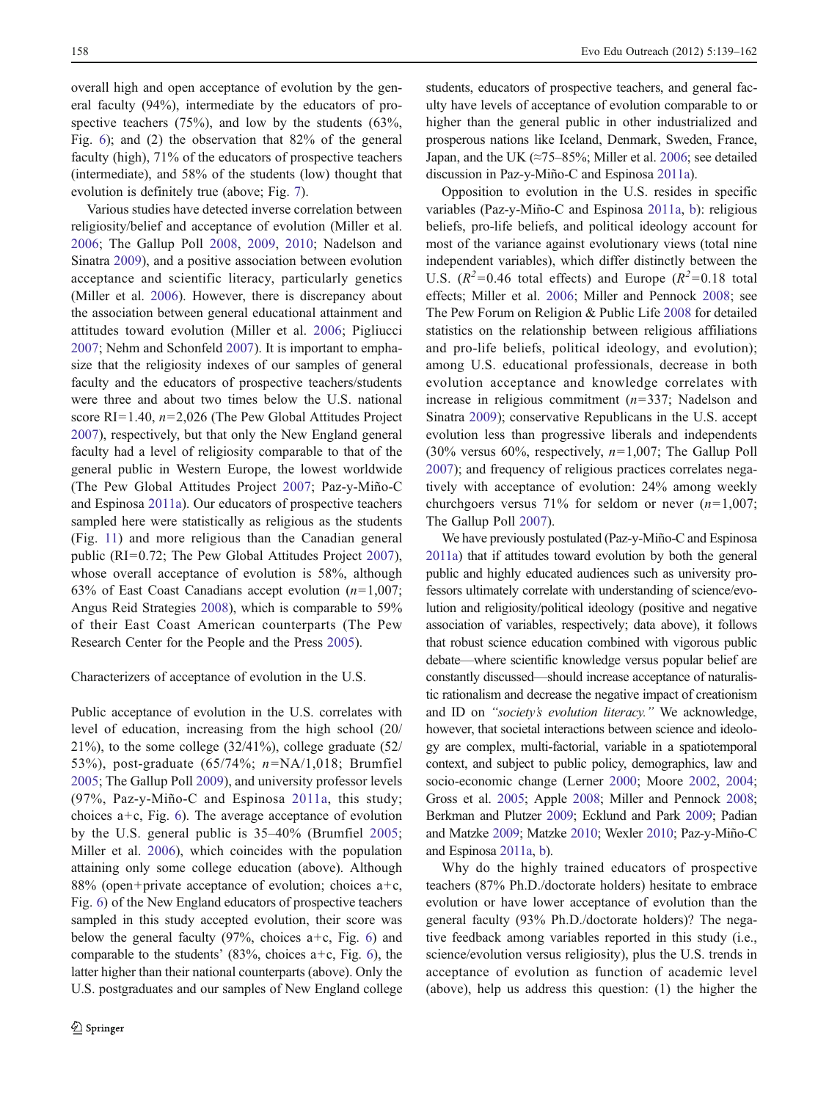overall high and open acceptance of evolution by the general faculty (94%), intermediate by the educators of prospective teachers  $(75%)$ , and low by the students  $(63%)$ , Fig. [6](#page-10-0)); and (2) the observation that 82% of the general faculty (high), 71% of the educators of prospective teachers (intermediate), and 58% of the students (low) thought that evolution is definitely true (above; Fig. [7](#page-10-0)).

Various studies have detected inverse correlation between religiosity/belief and acceptance of evolution (Miller et al. [2006](#page-22-0); The Gallup Poll [2008,](#page-23-0) [2009,](#page-23-0) [2010](#page-23-0); Nadelson and Sinatra [2009\)](#page-22-0), and a positive association between evolution acceptance and scientific literacy, particularly genetics (Miller et al. [2006](#page-22-0)). However, there is discrepancy about the association between general educational attainment and attitudes toward evolution (Miller et al. [2006;](#page-22-0) Pigliucci [2007;](#page-23-0) Nehm and Schonfeld [2007\)](#page-23-0). It is important to emphasize that the religiosity indexes of our samples of general faculty and the educators of prospective teachers/students were three and about two times below the U.S. national score RI=1.40,  $n=2,026$  (The Pew Global Attitudes Project [2007\)](#page-23-0), respectively, but that only the New England general faculty had a level of religiosity comparable to that of the general public in Western Europe, the lowest worldwide (The Pew Global Attitudes Project [2007;](#page-23-0) Paz-y-Miño-C and Espinosa [2011a\)](#page-23-0). Our educators of prospective teachers sampled here were statistically as religious as the students (Fig. [11](#page-15-0)) and more religious than the Canadian general public ( $RI=0.72$ ; The Pew Global Attitudes Project [2007](#page-23-0)), whose overall acceptance of evolution is 58%, although 63% of East Coast Canadians accept evolution  $(n=1,007;$ Angus Reid Strategies [2008](#page-22-0)), which is comparable to 59% of their East Coast American counterparts (The Pew Research Center for the People and the Press [2005](#page-23-0)).

Characterizers of acceptance of evolution in the U.S.

Public acceptance of evolution in the U.S. correlates with level of education, increasing from the high school (20/ 21%), to the some college  $(32/41\%)$ , college graduate  $(52/$ 53%), post-graduate (65/74%;  $n=NA/1,018$ ; Brumfiel [2005;](#page-22-0) The Gallup Poll [2009\)](#page-23-0), and university professor levels (97%, Paz-y-Miño-C and Espinosa [2011a,](#page-23-0) this study; choices  $a+c$ , Fig. [6\)](#page-10-0). The average acceptance of evolution by the U.S. general public is 35–40% (Brumfiel [2005](#page-22-0); Miller et al. [2006](#page-22-0)), which coincides with the population attaining only some college education (above). Although 88% (open+private acceptance of evolution; choices  $a+c$ , Fig. [6](#page-10-0)) of the New England educators of prospective teachers sampled in this study accepted evolution, their score was below the general faculty (97%, choices  $a+c$ , Fig. [6\)](#page-10-0) and comparable to the students' (83%, choices  $a+c$ , Fig. [6](#page-10-0)), the latter higher than their national counterparts (above). Only the U.S. postgraduates and our samples of New England college students, educators of prospective teachers, and general faculty have levels of acceptance of evolution comparable to or higher than the general public in other industrialized and prosperous nations like Iceland, Denmark, Sweden, France, Japan, and the UK ( $\approx$ 75–85%; Miller et al. [2006;](#page-22-0) see detailed discussion in Paz-y-Miño-C and Espinosa [2011a\)](#page-23-0).

Opposition to evolution in the U.S. resides in specific variables (Paz-y-Miño-C and Espinosa [2011a,](#page-23-0) [b](#page-23-0)): religious beliefs, pro-life beliefs, and political ideology account for most of the variance against evolutionary views (total nine independent variables), which differ distinctly between the U.S.  $(R^2=0.46$  total effects) and Europe  $(R^2=0.18$  total effects; Miller et al. [2006](#page-22-0); Miller and Pennock [2008;](#page-22-0) see The Pew Forum on Religion & Public Life [2008](#page-23-0) for detailed statistics on the relationship between religious affiliations and pro-life beliefs, political ideology, and evolution); among U.S. educational professionals, decrease in both evolution acceptance and knowledge correlates with increase in religious commitment  $(n=337;$  Nadelson and Sinatra [2009](#page-22-0)); conservative Republicans in the U.S. accept evolution less than progressive liberals and independents (30% versus 60%, respectively,  $n=1,007$ ; The Gallup Poll [2007](#page-23-0)); and frequency of religious practices correlates negatively with acceptance of evolution: 24% among weekly churchgoers versus 71% for seldom or never  $(n=1,007;$ The Gallup Poll [2007](#page-23-0)).

We have previously postulated (Paz-y-Miño-C and Espinosa [2011a](#page-23-0)) that if attitudes toward evolution by both the general public and highly educated audiences such as university professors ultimately correlate with understanding of science/evolution and religiosity/political ideology (positive and negative association of variables, respectively; data above), it follows that robust science education combined with vigorous public debate—where scientific knowledge versus popular belief are constantly discussed—should increase acceptance of naturalistic rationalism and decrease the negative impact of creationism and ID on "society's evolution literacy." We acknowledge, however, that societal interactions between science and ideology are complex, multi-factorial, variable in a spatiotemporal context, and subject to public policy, demographics, law and socio-economic change (Lerner [2000;](#page-22-0) Moore [2002,](#page-22-0) [2004;](#page-22-0) Gross et al. [2005;](#page-22-0) Apple [2008](#page-22-0); Miller and Pennock [2008;](#page-22-0) Berkman and Plutzer [2009](#page-22-0); Ecklund and Park [2009;](#page-22-0) Padian and Matzke [2009](#page-23-0); Matzke [2010](#page-22-0); Wexler [2010;](#page-23-0) Paz-y-Miño-C and Espinosa [2011a,](#page-23-0) [b](#page-23-0)).

Why do the highly trained educators of prospective teachers (87% Ph.D./doctorate holders) hesitate to embrace evolution or have lower acceptance of evolution than the general faculty (93% Ph.D./doctorate holders)? The negative feedback among variables reported in this study (i.e., science/evolution versus religiosity), plus the U.S. trends in acceptance of evolution as function of academic level (above), help us address this question: (1) the higher the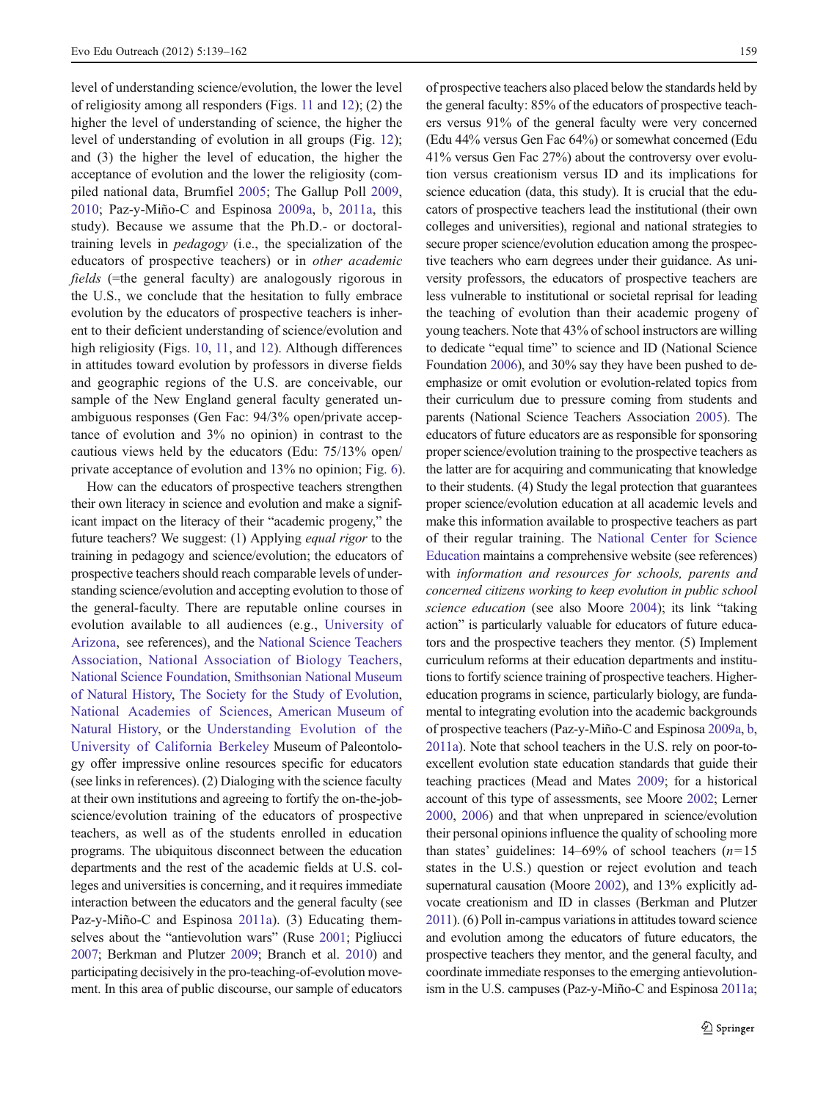level of understanding science/evolution, the lower the level of religiosity among all responders (Figs. [11](#page-15-0) and [12\)](#page-16-0); (2) the higher the level of understanding of science, the higher the level of understanding of evolution in all groups (Fig. [12](#page-16-0)); and (3) the higher the level of education, the higher the acceptance of evolution and the lower the religiosity (compiled national data, Brumfiel [2005](#page-22-0); The Gallup Poll [2009,](#page-23-0) [2010](#page-23-0); Paz-y-Miño-C and Espinosa [2009a](#page-23-0), [b,](#page-23-0) [2011a,](#page-23-0) this study). Because we assume that the Ph.D.- or doctoraltraining levels in pedagogy (i.e., the specialization of the educators of prospective teachers) or in other academic  $fields$  (=the general faculty) are analogously rigorous in the U.S., we conclude that the hesitation to fully embrace evolution by the educators of prospective teachers is inherent to their deficient understanding of science/evolution and high religiosity (Figs. [10,](#page-12-0) [11,](#page-15-0) and [12\)](#page-16-0). Although differences in attitudes toward evolution by professors in diverse fields and geographic regions of the U.S. are conceivable, our sample of the New England general faculty generated unambiguous responses (Gen Fac: 94/3% open/private acceptance of evolution and 3% no opinion) in contrast to the cautious views held by the educators (Edu: 75/13% open/ private acceptance of evolution and 13% no opinion; Fig. [6\)](#page-10-0).

How can the educators of prospective teachers strengthen their own literacy in science and evolution and make a significant impact on the literacy of their "academic progeny," the future teachers? We suggest: (1) Applying *equal rigor* to the training in pedagogy and science/evolution; the educators of prospective teachers should reach comparable levels of understanding science/evolution and accepting evolution to those of the general-faculty. There are reputable online courses in evolution available to all audiences (e.g., [University of](#page-23-0) [Arizona,](#page-23-0) see references), and the [National Science Teachers](#page-23-0) [Association,](#page-23-0) [National Association of Biology Teachers,](#page-22-0) [National Science Foundation](#page-22-0), [Smithsonian National Museum](#page-23-0) [of Natural History,](#page-23-0) [The Society for the Study of Evolution,](#page-23-0) [National Academies of Sciences](#page-22-0), [American Museum of](#page-22-0) [Natural History,](#page-22-0) or the [Understanding Evolution of the](#page-23-0) [University of California Berkeley](#page-23-0) Museum of Paleontology offer impressive online resources specific for educators (see links in references). (2) Dialoging with the science faculty at their own institutions and agreeing to fortify the on-the-jobscience/evolution training of the educators of prospective teachers, as well as of the students enrolled in education programs. The ubiquitous disconnect between the education departments and the rest of the academic fields at U.S. colleges and universities is concerning, and it requires immediate interaction between the educators and the general faculty (see Paz-y-Miño-C and Espinosa [2011a\)](#page-23-0). (3) Educating themselves about the "antievolution wars" (Ruse [2001;](#page-23-0) Pigliucci [2007](#page-23-0); Berkman and Plutzer [2009](#page-22-0); Branch et al. [2010\)](#page-22-0) and participating decisively in the pro-teaching-of-evolution movement. In this area of public discourse, our sample of educators

of prospective teachers also placed below the standards held by the general faculty: 85% of the educators of prospective teachers versus 91% of the general faculty were very concerned (Edu 44% versus Gen Fac 64%) or somewhat concerned (Edu 41% versus Gen Fac 27%) about the controversy over evolution versus creationism versus ID and its implications for science education (data, this study). It is crucial that the educators of prospective teachers lead the institutional (their own colleges and universities), regional and national strategies to secure proper science/evolution education among the prospective teachers who earn degrees under their guidance. As university professors, the educators of prospective teachers are less vulnerable to institutional or societal reprisal for leading the teaching of evolution than their academic progeny of young teachers. Note that 43% of school instructors are willing to dedicate "equal time" to science and ID (National Science Foundation [2006\)](#page-22-0), and 30% say they have been pushed to deemphasize or omit evolution or evolution-related topics from their curriculum due to pressure coming from students and parents (National Science Teachers Association [2005](#page-22-0)). The educators of future educators are as responsible for sponsoring proper science/evolution training to the prospective teachers as the latter are for acquiring and communicating that knowledge to their students. (4) Study the legal protection that guarantees proper science/evolution education at all academic levels and make this information available to prospective teachers as part of their regular training. The [National Center for Science](#page-22-0) [Education](#page-22-0) maintains a comprehensive website (see references) with information and resources for schools, parents and concerned citizens working to keep evolution in public school science education (see also Moore [2004](#page-22-0)); its link "taking action" is particularly valuable for educators of future educators and the prospective teachers they mentor. (5) Implement curriculum reforms at their education departments and institutions to fortify science training of prospective teachers. Highereducation programs in science, particularly biology, are fundamental to integrating evolution into the academic backgrounds of prospective teachers (Paz-y-Miño-C and Espinosa [2009a](#page-23-0), [b,](#page-23-0) [2011a](#page-23-0)). Note that school teachers in the U.S. rely on poor-toexcellent evolution state education standards that guide their teaching practices (Mead and Mates [2009](#page-22-0); for a historical account of this type of assessments, see Moore [2002](#page-22-0); Lerner [2000,](#page-22-0) [2006](#page-22-0)) and that when unprepared in science/evolution their personal opinions influence the quality of schooling more than states' guidelines:  $14-69\%$  of school teachers  $(n=15)$ states in the U.S.) question or reject evolution and teach supernatural causation (Moore [2002\)](#page-22-0), and 13% explicitly advocate creationism and ID in classes (Berkman and Plutzer [2011](#page-22-0)). (6) Poll in-campus variations in attitudes toward science and evolution among the educators of future educators, the prospective teachers they mentor, and the general faculty, and coordinate immediate responses to the emerging antievolutionism in the U.S. campuses (Paz-y-Miño-C and Espinosa [2011a;](#page-23-0)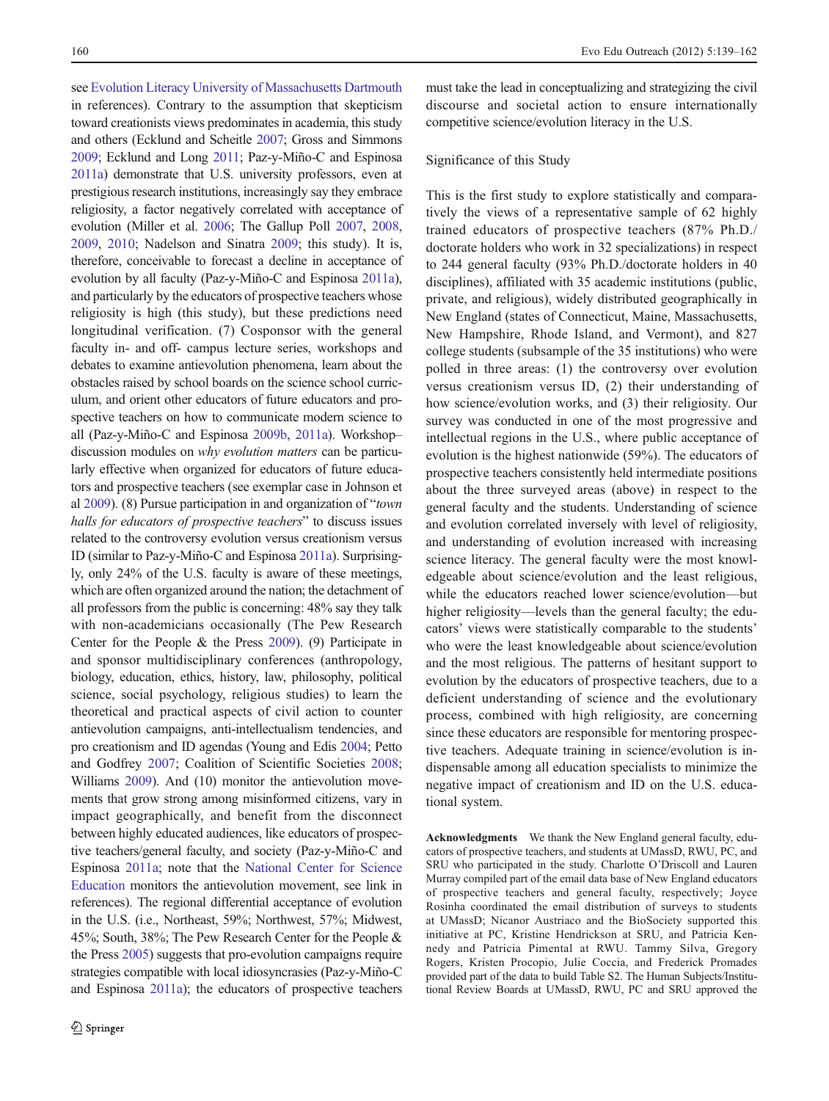see [Evolution Literacy University of Massachusetts Dartmouth](#page-22-0) in references). Contrary to the assumption that skepticism toward creationists views predominates in academia, this study and others (Ecklund and Scheitle [2007;](#page-22-0) Gross and Simmons [2009](#page-22-0); Ecklund and Long [2011](#page-22-0); Paz-y-Miño-C and Espinosa [2011a](#page-23-0)) demonstrate that U.S. university professors, even at prestigious research institutions, increasingly say they embrace religiosity, a factor negatively correlated with acceptance of evolution (Miller et al. [2006;](#page-22-0) The Gallup Poll [2007,](#page-23-0) [2008,](#page-23-0) [2009,](#page-23-0) [2010;](#page-23-0) Nadelson and Sinatra [2009](#page-22-0); this study). It is, therefore, conceivable to forecast a decline in acceptance of evolution by all faculty (Paz-y-Miño-C and Espinosa [2011a\)](#page-23-0), and particularly by the educators of prospective teachers whose religiosity is high (this study), but these predictions need longitudinal verification. (7) Cosponsor with the general faculty in- and off- campus lecture series, workshops and debates to examine antievolution phenomena, learn about the obstacles raised by school boards on the science school curriculum, and orient other educators of future educators and prospective teachers on how to communicate modern science to all (Paz-y-Miño-C and Espinosa [2009b](#page-23-0), [2011a\)](#page-23-0). Workshop– discussion modules on why evolution matters can be particularly effective when organized for educators of future educators and prospective teachers (see exemplar case in Johnson et al [2009\)](#page-22-0). (8) Pursue participation in and organization of "town halls for educators of prospective teachers" to discuss issues related to the controversy evolution versus creationism versus ID (similar to Paz-y-Miño-C and Espinosa [2011a\)](#page-23-0). Surprisingly, only 24% of the U.S. faculty is aware of these meetings, which are often organized around the nation; the detachment of all professors from the public is concerning: 48% say they talk with non-academicians occasionally (The Pew Research Center for the People & the Press [2009](#page-23-0)). (9) Participate in and sponsor multidisciplinary conferences (anthropology, biology, education, ethics, history, law, philosophy, political science, social psychology, religious studies) to learn the theoretical and practical aspects of civil action to counter antievolution campaigns, anti-intellectualism tendencies, and pro creationism and ID agendas (Young and Edis [2004](#page-23-0); Petto and Godfrey [2007](#page-23-0); Coalition of Scientific Societies [2008](#page-22-0); Williams [2009](#page-23-0)). And (10) monitor the antievolution movements that grow strong among misinformed citizens, vary in impact geographically, and benefit from the disconnect between highly educated audiences, like educators of prospective teachers/general faculty, and society (Paz-y-Miño-C and Espinosa [2011a;](#page-23-0) note that the [National Center for Science](#page-22-0) [Education](#page-22-0) monitors the antievolution movement, see link in references). The regional differential acceptance of evolution in the U.S. (i.e., Northeast, 59%; Northwest, 57%; Midwest, 45%; South, 38%; The Pew Research Center for the People & the Press [2005](#page-23-0)) suggests that pro-evolution campaigns require strategies compatible with local idiosyncrasies (Paz-y-Miño-C and Espinosa [2011a](#page-23-0)); the educators of prospective teachers

must take the lead in conceptualizing and strategizing the civil discourse and societal action to ensure internationally competitive science/evolution literacy in the U.S.

## Significance of this Study

This is the first study to explore statistically and comparatively the views of a representative sample of 62 highly trained educators of prospective teachers (87% Ph.D./ doctorate holders who work in 32 specializations) in respect to 244 general faculty (93% Ph.D./doctorate holders in 40 disciplines), affiliated with 35 academic institutions (public, private, and religious), widely distributed geographically in New England (states of Connecticut, Maine, Massachusetts, New Hampshire, Rhode Island, and Vermont), and 827 college students (subsample of the 35 institutions) who were polled in three areas: (1) the controversy over evolution versus creationism versus ID, (2) their understanding of how science/evolution works, and (3) their religiosity. Our survey was conducted in one of the most progressive and intellectual regions in the U.S., where public acceptance of evolution is the highest nationwide (59%). The educators of prospective teachers consistently held intermediate positions about the three surveyed areas (above) in respect to the general faculty and the students. Understanding of science and evolution correlated inversely with level of religiosity, and understanding of evolution increased with increasing science literacy. The general faculty were the most knowledgeable about science/evolution and the least religious, while the educators reached lower science/evolution—but higher religiosity—levels than the general faculty; the educators' views were statistically comparable to the students' who were the least knowledgeable about science/evolution and the most religious. The patterns of hesitant support to evolution by the educators of prospective teachers, due to a deficient understanding of science and the evolutionary process, combined with high religiosity, are concerning since these educators are responsible for mentoring prospective teachers. Adequate training in science/evolution is indispensable among all education specialists to minimize the negative impact of creationism and ID on the U.S. educational system.

Acknowledgments We thank the New England general faculty, educators of prospective teachers, and students at UMassD, RWU, PC, and SRU who participated in the study. Charlotte O'Driscoll and Lauren Murray compiled part of the email data base of New England educators of prospective teachers and general faculty, respectively; Joyce Rosinha coordinated the email distribution of surveys to students at UMassD; Nicanor Austriaco and the BioSociety supported this initiative at PC, Kristine Hendrickson at SRU, and Patricia Kennedy and Patricia Pimental at RWU. Tammy Silva, Gregory Rogers, Kristen Procopio, Julie Coccia, and Frederick Promades provided part of the data to build Table S2. The Human Subjects/Institutional Review Boards at UMassD, RWU, PC and SRU approved the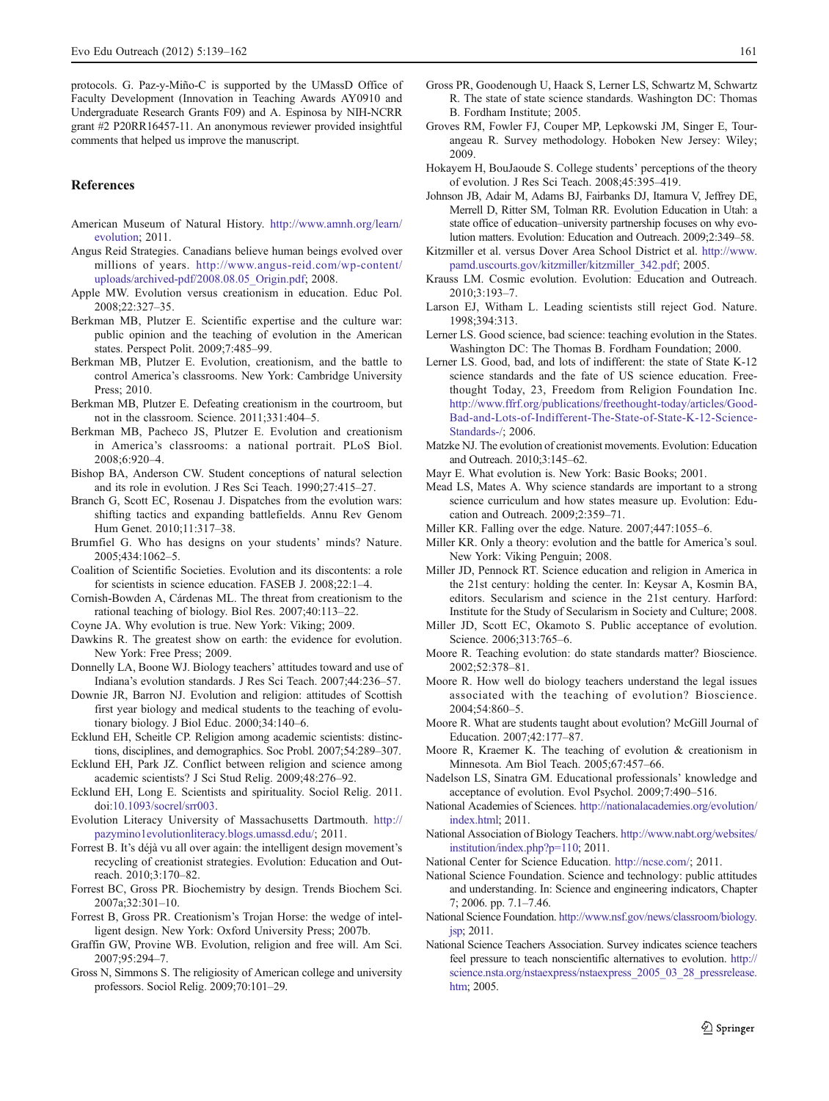<span id="page-22-0"></span>protocols. G. Paz-y-Miño-C is supported by the UMassD Office of Faculty Development (Innovation in Teaching Awards AY0910 and Undergraduate Research Grants F09) and A. Espinosa by NIH-NCRR grant #2 P20RR16457-11. An anonymous reviewer provided insightful comments that helped us improve the manuscript.

#### References

- American Museum of Natural History. [http://www.amnh.org/learn/](http://www.amnh.org/learn/evolution) [evolution;](http://www.amnh.org/learn/evolution) 2011.
- Angus Reid Strategies. Canadians believe human beings evolved over millions of years. [http://www.angus-reid.com/wp-content/](http://www.angus-reid.com/wp-content/uploads/archived-pdf/2008.08.05_Origin.pdf) [uploads/archived-pdf/2008.08.05\\_Origin.pdf](http://www.angus-reid.com/wp-content/uploads/archived-pdf/2008.08.05_Origin.pdf); 2008.
- Apple MW. Evolution versus creationism in education. Educ Pol. 2008;22:327–35.
- Berkman MB, Plutzer E. Scientific expertise and the culture war: public opinion and the teaching of evolution in the American states. Perspect Polit. 2009;7:485–99.
- Berkman MB, Plutzer E. Evolution, creationism, and the battle to control America's classrooms. New York: Cambridge University Press; 2010.
- Berkman MB, Plutzer E. Defeating creationism in the courtroom, but not in the classroom. Science. 2011;331:404–5.
- Berkman MB, Pacheco JS, Plutzer E. Evolution and creationism in America's classrooms: a national portrait. PLoS Biol. 2008;6:920–4.
- Bishop BA, Anderson CW. Student conceptions of natural selection and its role in evolution. J Res Sci Teach. 1990;27:415–27.
- Branch G, Scott EC, Rosenau J. Dispatches from the evolution wars: shifting tactics and expanding battlefields. Annu Rev Genom Hum Genet. 2010;11:317–38.
- Brumfiel G. Who has designs on your students' minds? Nature. 2005;434:1062–5.
- Coalition of Scientific Societies. Evolution and its discontents: a role for scientists in science education. FASEB J. 2008;22:1–4.
- Cornish-Bowden A, Cárdenas ML. The threat from creationism to the rational teaching of biology. Biol Res. 2007;40:113–22.
- Coyne JA. Why evolution is true. New York: Viking; 2009.
- Dawkins R. The greatest show on earth: the evidence for evolution. New York: Free Press; 2009.
- Donnelly LA, Boone WJ. Biology teachers' attitudes toward and use of Indiana's evolution standards. J Res Sci Teach. 2007;44:236–57.
- Downie JR, Barron NJ. Evolution and religion: attitudes of Scottish first year biology and medical students to the teaching of evolutionary biology. J Biol Educ. 2000;34:140–6.
- Ecklund EH, Scheitle CP. Religion among academic scientists: distinctions, disciplines, and demographics. Soc Probl. 2007;54:289–307.
- Ecklund EH, Park JZ. Conflict between religion and science among academic scientists? J Sci Stud Relig. 2009;48:276–92.
- Ecklund EH, Long E. Scientists and spirituality. Sociol Relig. 2011. doi[:10.1093/socrel/srr003](http://dx.doi.org/10.1093/socrel/srr003).
- Evolution Literacy University of Massachusetts Dartmouth. [http://](http://pazymino1evolutionliteracy.blogs.umassd.edu/) [pazymino1evolutionliteracy.blogs.umassd.edu/;](http://pazymino1evolutionliteracy.blogs.umassd.edu/) 2011.
- Forrest B. It's déjà vu all over again: the intelligent design movement's recycling of creationist strategies. Evolution: Education and Outreach. 2010;3:170–82.
- Forrest BC, Gross PR. Biochemistry by design. Trends Biochem Sci. 2007a;32:301–10.
- Forrest B, Gross PR. Creationism's Trojan Horse: the wedge of intelligent design. New York: Oxford University Press; 2007b.
- Graffin GW, Provine WB. Evolution, religion and free will. Am Sci. 2007;95:294–7.
- Gross N, Simmons S. The religiosity of American college and university professors. Sociol Relig. 2009;70:101–29.
- Gross PR, Goodenough U, Haack S, Lerner LS, Schwartz M, Schwartz R. The state of state science standards. Washington DC: Thomas B. Fordham Institute; 2005.
- Groves RM, Fowler FJ, Couper MP, Lepkowski JM, Singer E, Tourangeau R. Survey methodology. Hoboken New Jersey: Wiley; 2009.
- Hokayem H, BouJaoude S. College students' perceptions of the theory of evolution. J Res Sci Teach. 2008;45:395–419.
- Johnson JB, Adair M, Adams BJ, Fairbanks DJ, Itamura V, Jeffrey DE, Merrell D, Ritter SM, Tolman RR. Evolution Education in Utah: a state office of education–university partnership focuses on why evolution matters. Evolution: Education and Outreach. 2009;2:349–58.
- Kitzmiller et al. versus Dover Area School District et al. [http://www.](http://www.pamd.uscourts.gov/kitzmiller/kitzmiller_342.pdf) [pamd.uscourts.gov/kitzmiller/kitzmiller\\_342.pdf](http://www.pamd.uscourts.gov/kitzmiller/kitzmiller_342.pdf); 2005.
- Krauss LM. Cosmic evolution. Evolution: Education and Outreach. 2010;3:193–7.
- Larson EJ, Witham L. Leading scientists still reject God. Nature. 1998;394:313.
- Lerner LS. Good science, bad science: teaching evolution in the States. Washington DC: The Thomas B. Fordham Foundation; 2000.
- Lerner LS. Good, bad, and lots of indifferent: the state of State K-12 science standards and the fate of US science education. Freethought Today, 23, Freedom from Religion Foundation Inc. [http://www.ffrf.org/publications/freethought-today/articles/Good-](http://www.ffrf.org/publications/freethought-today/articles/Good-Bad-and-Lots-of-Indifferent-The-State-of-State-K-12-Science-Standards-/)[Bad-and-Lots-of-Indifferent-The-State-of-State-K-12-Science-](http://www.ffrf.org/publications/freethought-today/articles/Good-Bad-and-Lots-of-Indifferent-The-State-of-State-K-12-Science-Standards-/)[Standards-/](http://www.ffrf.org/publications/freethought-today/articles/Good-Bad-and-Lots-of-Indifferent-The-State-of-State-K-12-Science-Standards-/); 2006.
- Matzke NJ. The evolution of creationist movements. Evolution: Education and Outreach. 2010;3:145–62.
- Mayr E. What evolution is. New York: Basic Books; 2001.
- Mead LS, Mates A. Why science standards are important to a strong science curriculum and how states measure up. Evolution: Education and Outreach. 2009;2:359–71.
- Miller KR. Falling over the edge. Nature. 2007;447:1055–6.
- Miller KR. Only a theory: evolution and the battle for America's soul. New York: Viking Penguin; 2008.
- Miller JD, Pennock RT. Science education and religion in America in the 21st century: holding the center. In: Keysar A, Kosmin BA, editors. Secularism and science in the 21st century. Harford: Institute for the Study of Secularism in Society and Culture; 2008.
- Miller JD, Scott EC, Okamoto S. Public acceptance of evolution. Science. 2006;313:765–6.
- Moore R. Teaching evolution: do state standards matter? Bioscience. 2002;52:378–81.
- Moore R. How well do biology teachers understand the legal issues associated with the teaching of evolution? Bioscience. 2004;54:860–5.
- Moore R. What are students taught about evolution? McGill Journal of Education. 2007;42:177–87.
- Moore R, Kraemer K. The teaching of evolution & creationism in Minnesota. Am Biol Teach. 2005;67:457–66.
- Nadelson LS, Sinatra GM. Educational professionals' knowledge and acceptance of evolution. Evol Psychol. 2009;7:490–516.
- National Academies of Sciences. [http://nationalacademies.org/evolution/](http://nationalacademies.org/evolution/index.html) [index.html](http://nationalacademies.org/evolution/index.html); 2011.
- National Association of Biology Teachers. [http://www.nabt.org/websites/](http://www.nabt.org/websites/institution/index.php?p=110) [institution/index.php?p](http://www.nabt.org/websites/institution/index.php?p=110)=[110](http://www.nabt.org/websites/institution/index.php?p=110); 2011.
- National Center for Science Education. [http://ncse.com/;](http://ncse.com/) 2011.
- National Science Foundation. Science and technology: public attitudes and understanding. In: Science and engineering indicators, Chapter 7; 2006. pp. 7.1–7.46.
- National Science Foundation. [http://www.nsf.gov/news/classroom/biology.](http://www.nsf.gov/news/classroom/biology.jsp) [jsp](http://www.nsf.gov/news/classroom/biology.jsp); 2011.
- National Science Teachers Association. Survey indicates science teachers feel pressure to teach nonscientific alternatives to evolution. [http://](http://science.nsta.org/nstaexpress/nstaexpress_2005_03_28_pressrelease.htm) [science.nsta.org/nstaexpress/nstaexpress\\_2005\\_03\\_28\\_pressrelease.](http://science.nsta.org/nstaexpress/nstaexpress_2005_03_28_pressrelease.htm) [htm;](http://science.nsta.org/nstaexpress/nstaexpress_2005_03_28_pressrelease.htm) 2005.